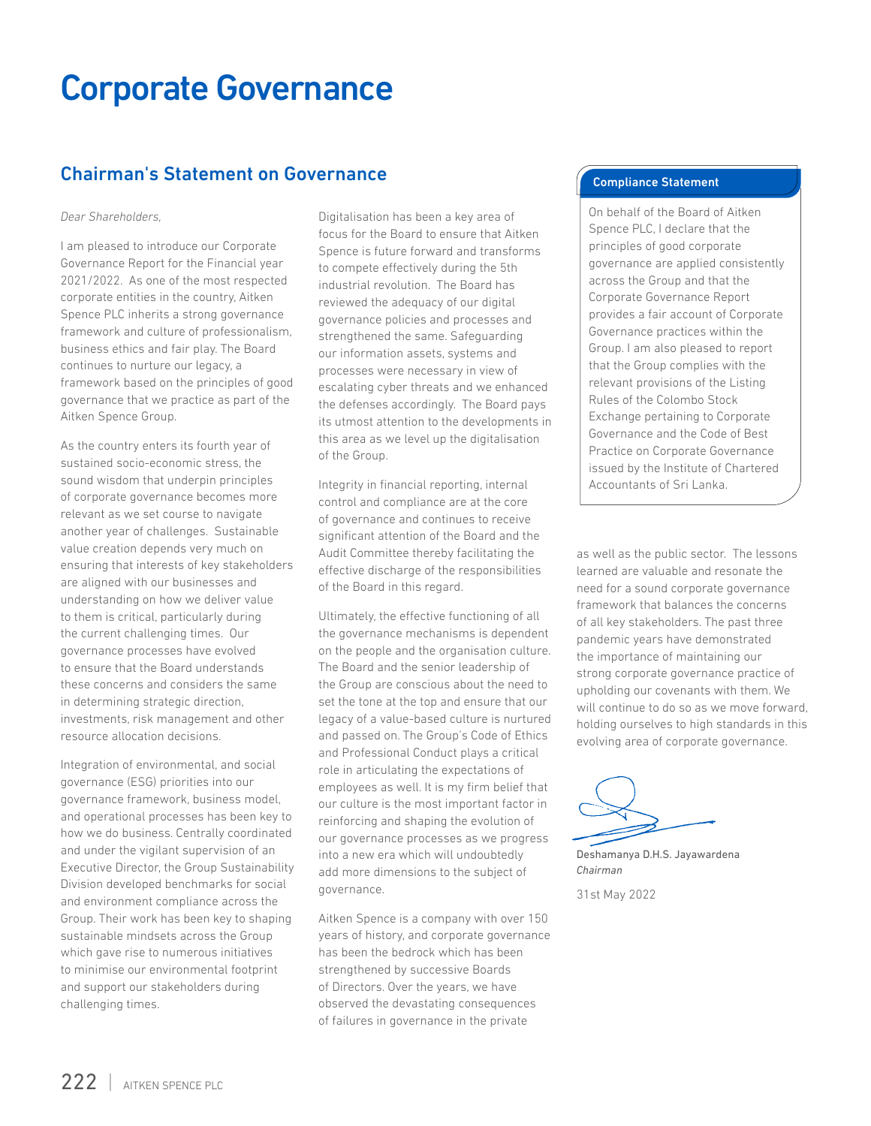### Chairman's Statement on Governance

#### *Dear Shareholders,*

I am pleased to introduce our Corporate Governance Report for the Financial year 2021/2022. As one of the most respected corporate entities in the country, Aitken Spence PLC inherits a strong governance framework and culture of professionalism, business ethics and fair play. The Board continues to nurture our legacy, a framework based on the principles of good governance that we practice as part of the Aitken Spence Group.

As the country enters its fourth year of sustained socio-economic stress, the sound wisdom that underpin principles of corporate governance becomes more relevant as we set course to navigate another year of challenges. Sustainable value creation depends very much on ensuring that interests of key stakeholders are aligned with our businesses and understanding on how we deliver value to them is critical, particularly during the current challenging times. Our governance processes have evolved to ensure that the Board understands these concerns and considers the same in determining strategic direction, investments, risk management and other resource allocation decisions.

Integration of environmental, and social governance (ESG) priorities into our governance framework, business model, and operational processes has been key to how we do business. Centrally coordinated and under the vigilant supervision of an Executive Director, the Group Sustainability Division developed benchmarks for social and environment compliance across the Group. Their work has been key to shaping sustainable mindsets across the Group which gave rise to numerous initiatives to minimise our environmental footprint and support our stakeholders during challenging times.

Digitalisation has been a key area of focus for the Board to ensure that Aitken Spence is future forward and transforms to compete effectively during the 5th industrial revolution. The Board has reviewed the adequacy of our digital governance policies and processes and strengthened the same. Safeguarding our information assets, systems and processes were necessary in view of escalating cyber threats and we enhanced the defenses accordingly. The Board pays its utmost attention to the developments in this area as we level up the digitalisation of the Group.

Integrity in financial reporting, internal control and compliance are at the core of governance and continues to receive significant attention of the Board and the Audit Committee thereby facilitating the effective discharge of the responsibilities of the Board in this regard.

Ultimately, the effective functioning of all the governance mechanisms is dependent on the people and the organisation culture. The Board and the senior leadership of the Group are conscious about the need to set the tone at the top and ensure that our legacy of a value-based culture is nurtured and passed on. The Group's Code of Ethics and Professional Conduct plays a critical role in articulating the expectations of employees as well. It is my firm belief that our culture is the most important factor in reinforcing and shaping the evolution of our governance processes as we progress into a new era which will undoubtedly add more dimensions to the subject of governance.

Aitken Spence is a company with over 150 years of history, and corporate governance has been the bedrock which has been strengthened by successive Boards of Directors. Over the years, we have observed the devastating consequences of failures in governance in the private

#### Compliance Statement

On behalf of the Board of Aitken Spence PLC, I declare that the principles of good corporate governance are applied consistently across the Group and that the Corporate Governance Report provides a fair account of Corporate Governance practices within the Group. I am also pleased to report that the Group complies with the relevant provisions of the Listing Rules of the Colombo Stock Exchange pertaining to Corporate Governance and the Code of Best Practice on Corporate Governance issued by the Institute of Chartered Accountants of Sri Lanka.

as well as the public sector. The lessons learned are valuable and resonate the need for a sound corporate governance framework that balances the concerns of all key stakeholders. The past three pandemic years have demonstrated the importance of maintaining our strong corporate governance practice of upholding our covenants with them. We will continue to do so as we move forward, holding ourselves to high standards in this evolving area of corporate governance.

Deshamanya D.H.S. Jayawardena *Chairman*

31st May 2022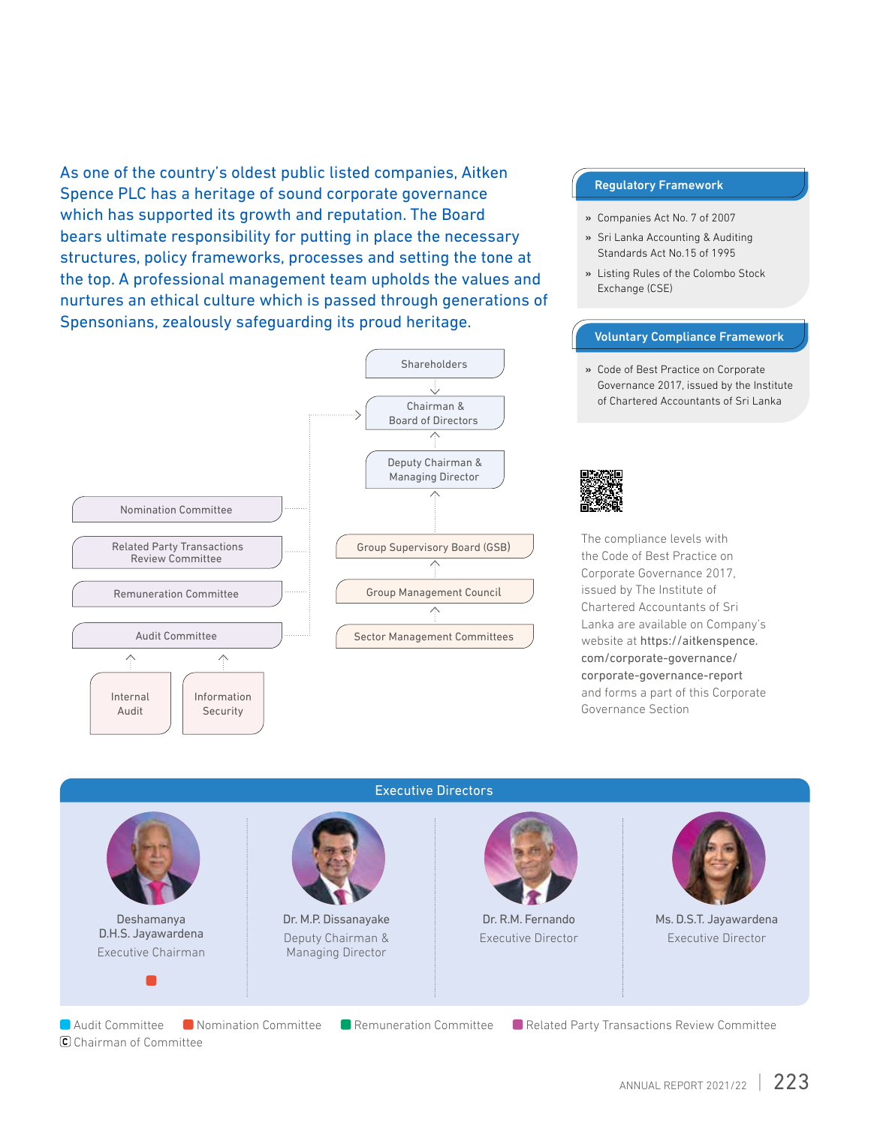As one of the country's oldest public listed companies, Aitken Spence PLC has a heritage of sound corporate governance which has supported its growth and reputation. The Board bears ultimate responsibility for putting in place the necessary structures, policy frameworks, processes and setting the tone at the top. A professional management team upholds the values and nurtures an ethical culture which is passed through generations of Spensonians, zealously safeguarding its proud heritage.



#### Regulatory Framework

- » Companies Act No. 7 of 2007
- » Sri Lanka Accounting & Auditing Standards Act No.15 of 1995
- » Listing Rules of the Colombo Stock Exchange (CSE)

#### Voluntary Compliance Framework

» Code of Best Practice on Corporate Governance 2017, issued by the Institute of Chartered Accountants of Sri Lanka



The compliance levels with the Code of Best Practice on Corporate Governance 2017, issued by The Institute of Chartered Accountants of Sri Lanka are available on Company's website at https://aitkenspence. com/corporate-governance/ corporate-governance-report and forms a part of this Corporate Governance Section



ANNUAL REPORT 2021/22 | 223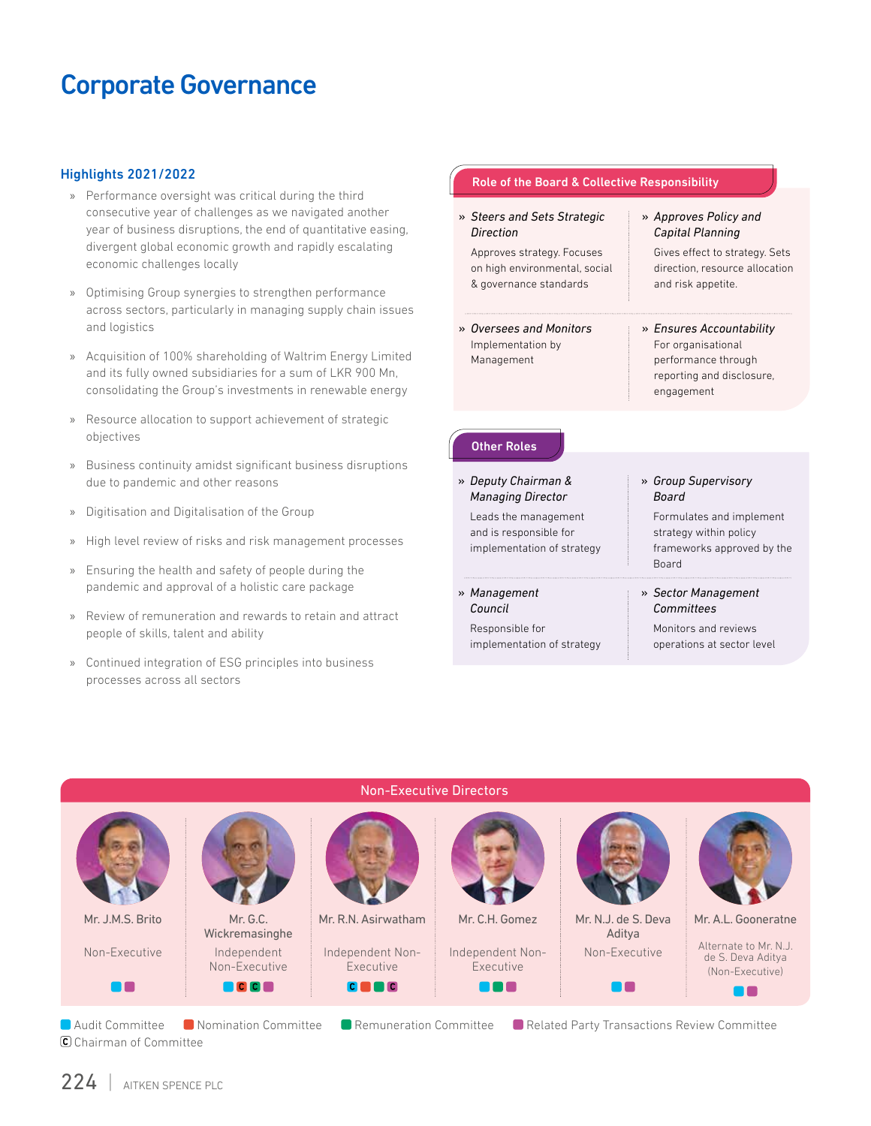#### Highlights 2021/2022

- » Performance oversight was critical during the third consecutive year of challenges as we navigated another year of business disruptions, the end of quantitative easing, divergent global economic growth and rapidly escalating economic challenges locally
- » Optimising Group synergies to strengthen performance across sectors, particularly in managing supply chain issues and logistics
- » Acquisition of 100% shareholding of Waltrim Energy Limited and its fully owned subsidiaries for a sum of LKR 900 Mn, consolidating the Group's investments in renewable energy
- » Resource allocation to support achievement of strategic objectives
- » Business continuity amidst significant business disruptions due to pandemic and other reasons
- » Digitisation and Digitalisation of the Group
- » High level review of risks and risk management processes
- » Ensuring the health and safety of people during the pandemic and approval of a holistic care package
- » Review of remuneration and rewards to retain and attract people of skills, talent and ability
- » Continued integration of ESG principles into business processes across all sectors

| » Steers and Sets Strategic<br>Direction                                              | » Approves Policy and<br>Capital Planning                                                                        |
|---------------------------------------------------------------------------------------|------------------------------------------------------------------------------------------------------------------|
| Approves strategy. Focuses<br>on high environmental, social<br>& governance standards | Gives effect to strategy. Sets<br>direction, resource allocation<br>and risk appetite.                           |
| » Oversees and Monitors<br>Implementation by<br>Management                            | » Ensures Accountability<br>For organisational<br>performance through<br>reporting and disclosure,<br>engagement |
|                                                                                       |                                                                                                                  |
| <b>Other Roles</b>                                                                    |                                                                                                                  |
| » Deputy Chairman &<br><b>Managing Director</b>                                       | » Group Supervisory<br><b>Board</b>                                                                              |
| Leads the management<br>and is responsible for<br>implementation of strategy          | Formulates and implement<br>strategy within policy<br>frameworks approved by the<br><b>Roard</b>                 |
| » Management<br>Council                                                               | » Sector Management<br>Committees                                                                                |



# C Chairman of Committee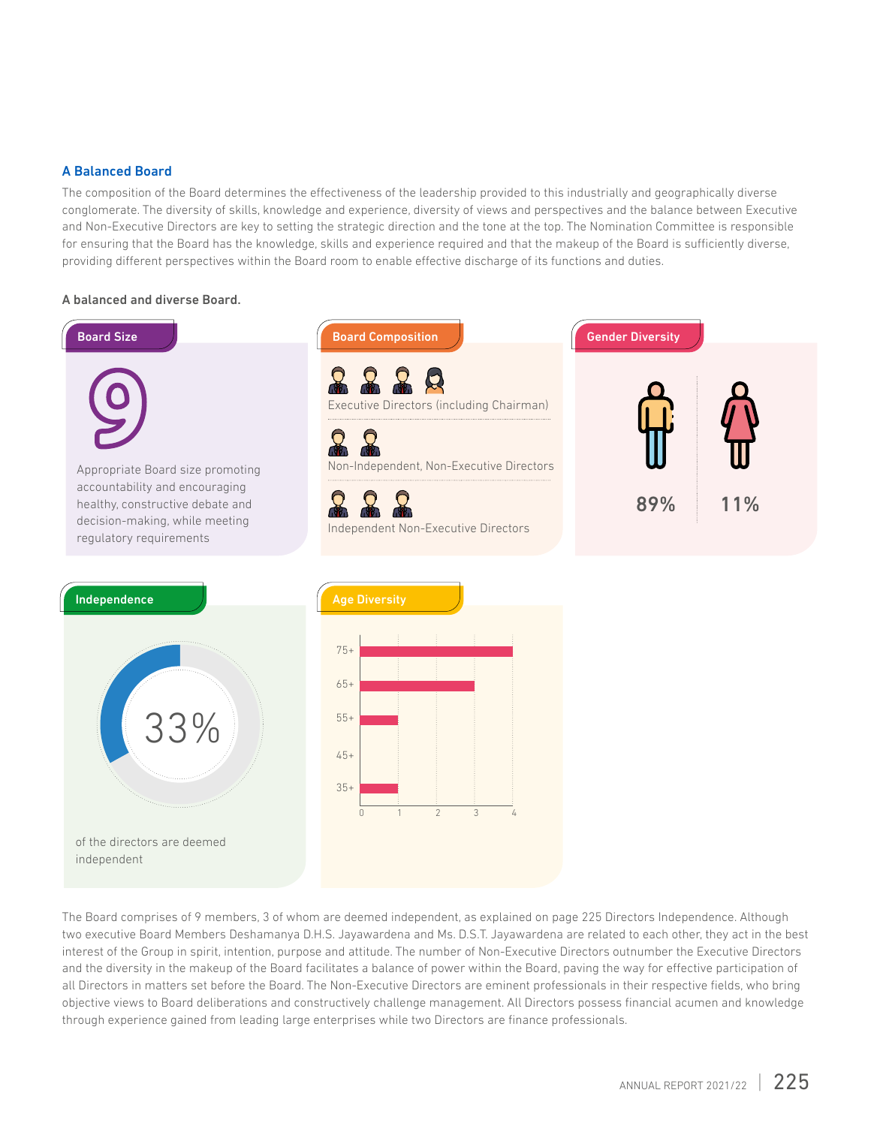#### A Balanced Board

The composition of the Board determines the effectiveness of the leadership provided to this industrially and geographically diverse conglomerate. The diversity of skills, knowledge and experience, diversity of views and perspectives and the balance between Executive and Non-Executive Directors are key to setting the strategic direction and the tone at the top. The Nomination Committee is responsible for ensuring that the Board has the knowledge, skills and experience required and that the makeup of the Board is sufficiently diverse, providing different perspectives within the Board room to enable effective discharge of its functions and duties.

#### A balanced and diverse Board.



The Board comprises of 9 members, 3 of whom are deemed independent, as explained on page 225 Directors Independence. Although two executive Board Members Deshamanya D.H.S. Jayawardena and Ms. D.S.T. Jayawardena are related to each other, they act in the best interest of the Group in spirit, intention, purpose and attitude. The number of Non-Executive Directors outnumber the Executive Directors and the diversity in the makeup of the Board facilitates a balance of power within the Board, paving the way for effective participation of all Directors in matters set before the Board. The Non-Executive Directors are eminent professionals in their respective fields, who bring objective views to Board deliberations and constructively challenge management. All Directors possess financial acumen and knowledge through experience gained from leading large enterprises while two Directors are finance professionals.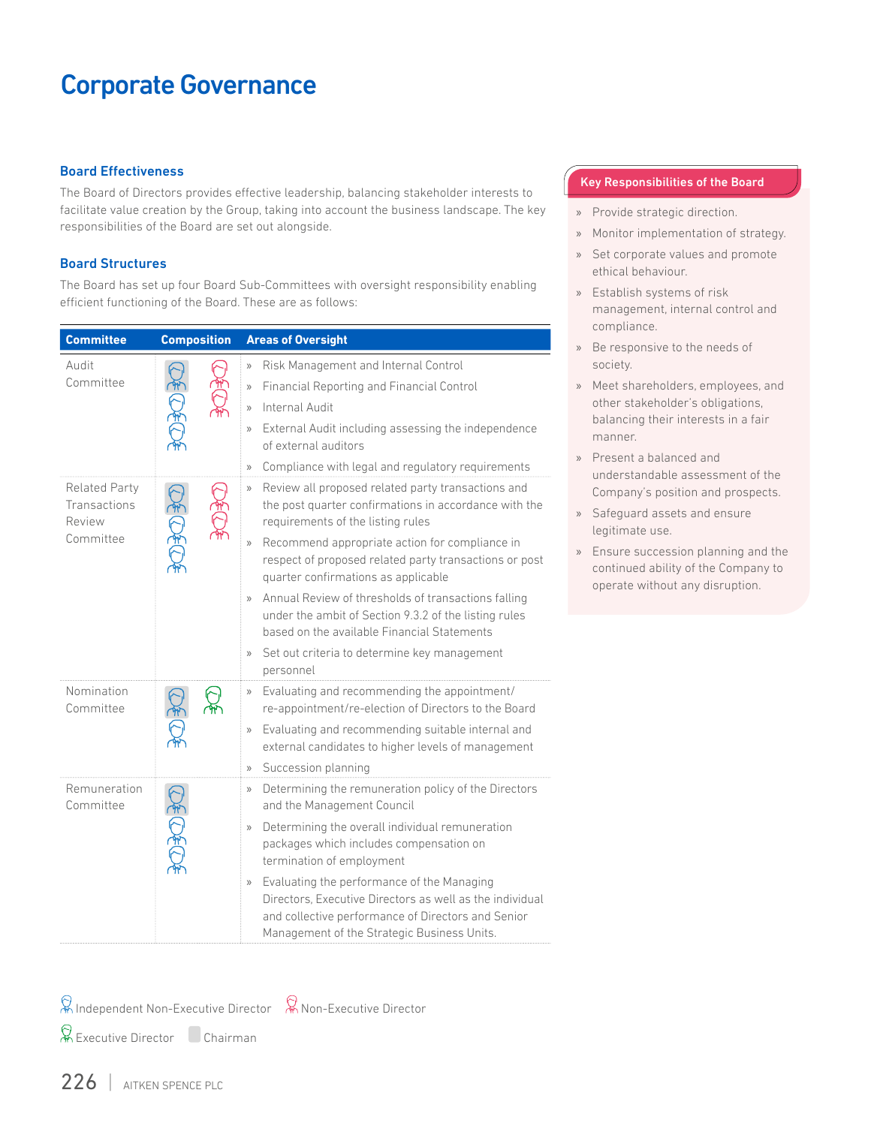#### Board Effectiveness

The Board of Directors provides effective leadership, balancing stakeholder interests to facilitate value creation by the Group, taking into account the business landscape. The key responsibilities of the Board are set out alongside.

#### Board Structures

The Board has set up four Board Sub-Committees with oversight responsibility enabling efficient functioning of the Board. These are as follows:

| <b>Committee</b>                                            | <b>Composition</b>   | <b>Areas of Oversight</b>                                                                                                                                                                                                                                                                                                                                                                                                                                                                                                                                                              |
|-------------------------------------------------------------|----------------------|----------------------------------------------------------------------------------------------------------------------------------------------------------------------------------------------------------------------------------------------------------------------------------------------------------------------------------------------------------------------------------------------------------------------------------------------------------------------------------------------------------------------------------------------------------------------------------------|
| Audit<br>Committee                                          |                      | Risk Management and Internal Control<br>$\rangle$<br>Financial Reporting and Financial Control<br>$\rangle$<br>Internal Audit<br>$\rangle$<br>External Audit including assessing the independence<br>$\rangle\!\rangle$<br>of external auditors<br>Compliance with legal and regulatory requirements<br>$\rangle$                                                                                                                                                                                                                                                                      |
| <b>Related Party</b><br>Transactions<br>Review<br>Committee | $\tilde{\texttt{w}}$ | Review all proposed related party transactions and<br>$\rangle\!\rangle$<br>the post quarter confirmations in accordance with the<br>requirements of the listing rules<br>Recommend appropriate action for compliance in<br>$\rangle\rangle$<br>respect of proposed related party transactions or post<br>quarter confirmations as applicable<br>Annual Review of thresholds of transactions falling<br>under the ambit of Section 9.3.2 of the listing rules<br>based on the available Financial Statements<br>Set out criteria to determine key management<br>$\rangle$<br>personnel |
| Nomination<br>Committee                                     | '₩                   | Evaluating and recommending the appointment/<br>$\rangle\rangle$<br>re-appointment/re-election of Directors to the Board<br>Evaluating and recommending suitable internal and<br>$\rangle$<br>external candidates to higher levels of management<br>Succession planning<br>$\rangle\!\rangle$                                                                                                                                                                                                                                                                                          |
| Remuneration<br>Committee                                   |                      | Determining the remuneration policy of the Directors<br>$\rangle\rangle$<br>and the Management Council<br>Determining the overall individual remuneration<br>$\rangle$<br>packages which includes compensation on<br>termination of employment<br>Evaluating the performance of the Managing<br>$\rangle\rangle$<br>Directors. Executive Directors as well as the individual<br>and collective performance of Directors and Senior<br>Management of the Strategic Business Units.                                                                                                      |

#### Key Responsibilities of the Board

- » Provide strategic direction.
- » Monitor implementation of strategy.
- » Set corporate values and promote ethical behaviour.
- » Establish systems of risk management, internal control and compliance.
- Be responsive to the needs of society.
- » Meet shareholders, employees, and other stakeholder's obligations, balancing their interests in a fair manner.
- » Present a balanced and understandable assessment of the Company's position and prospects.
- Safeguard assets and ensure legitimate use.
- » Ensure succession planning and the continued ability of the Company to operate without any disruption.

Independent Non-Executive Director Non-Executive Director

Executive Director Chairman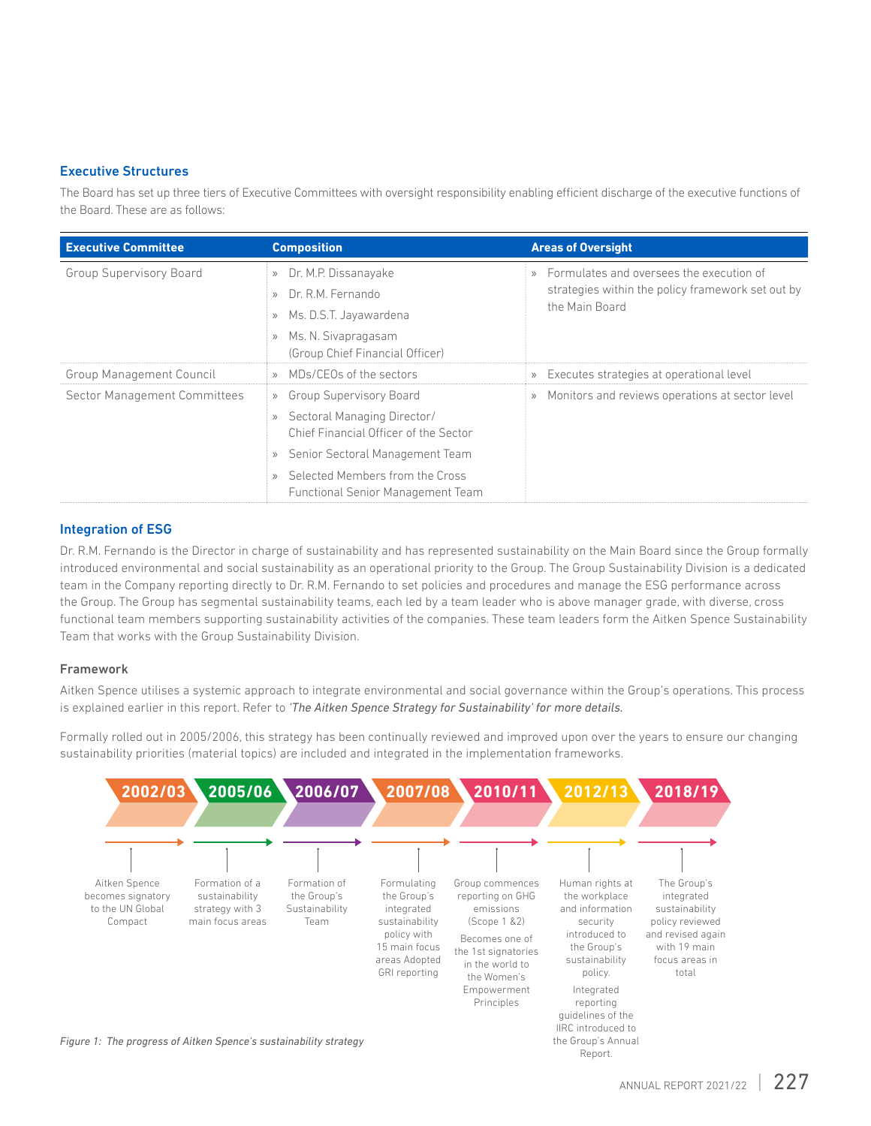#### Executive Structures

The Board has set up three tiers of Executive Committees with oversight responsibility enabling efficient discharge of the executive functions of the Board. These are as follows:

| <b>Executive Committee</b>      | <b>Composition</b>                                    | <b>Areas of Oversight</b>                                    |
|---------------------------------|-------------------------------------------------------|--------------------------------------------------------------|
| <b>Group Supervisory Board</b>  | Dr. M.P. Dissanayake<br>$\rangle$                     | Formulates and oversees the execution of<br>$\rangle$        |
|                                 | Dr. R.M. Fernando<br>$\rangle$                        | strategies within the policy framework set out by            |
|                                 | the Main Board<br>Ms. D.S.T. Jayawardena<br>$\rangle$ |                                                              |
|                                 | Ms. N. Sivapragasam<br>$\rangle$                      |                                                              |
|                                 | (Group Chief Financial Officer)                       |                                                              |
| <b>Group Management Council</b> | MDs/CEOs of the sectors<br>$\rangle$                  | Executes strategies at operational level<br>$\rangle$        |
| Sector Management Committees    | <b>Group Supervisory Board</b><br>$\rangle$           | Monitors and reviews operations at sector level<br>$\rangle$ |
|                                 | Sectoral Managing Director/<br>$\rangle$              |                                                              |
|                                 | Chief Financial Officer of the Sector                 |                                                              |
|                                 | Senior Sectoral Management Team<br>$\rangle$          |                                                              |
|                                 | Selected Members from the Cross                       |                                                              |
|                                 | Functional Senior Management Team                     |                                                              |

#### Integration of ESG

Dr. R.M. Fernando is the Director in charge of sustainability and has represented sustainability on the Main Board since the Group formally introduced environmental and social sustainability as an operational priority to the Group. The Group Sustainability Division is a dedicated team in the Company reporting directly to Dr. R.M. Fernando to set policies and procedures and manage the ESG performance across the Group. The Group has segmental sustainability teams, each led by a team leader who is above manager grade, with diverse, cross functional team members supporting sustainability activities of the companies. These team leaders form the Aitken Spence Sustainability Team that works with the Group Sustainability Division.

#### Framework

Aitken Spence utilises a systemic approach to integrate environmental and social governance within the Group's operations. This process is explained earlier in this report. Refer to *'The Aitken Spence Strategy for Sustainability' for more details.* 

Formally rolled out in 2005/2006, this strategy has been continually reviewed and improved upon over the years to ensure our changing sustainability priorities (material topics) are included and integrated in the implementation frameworks.

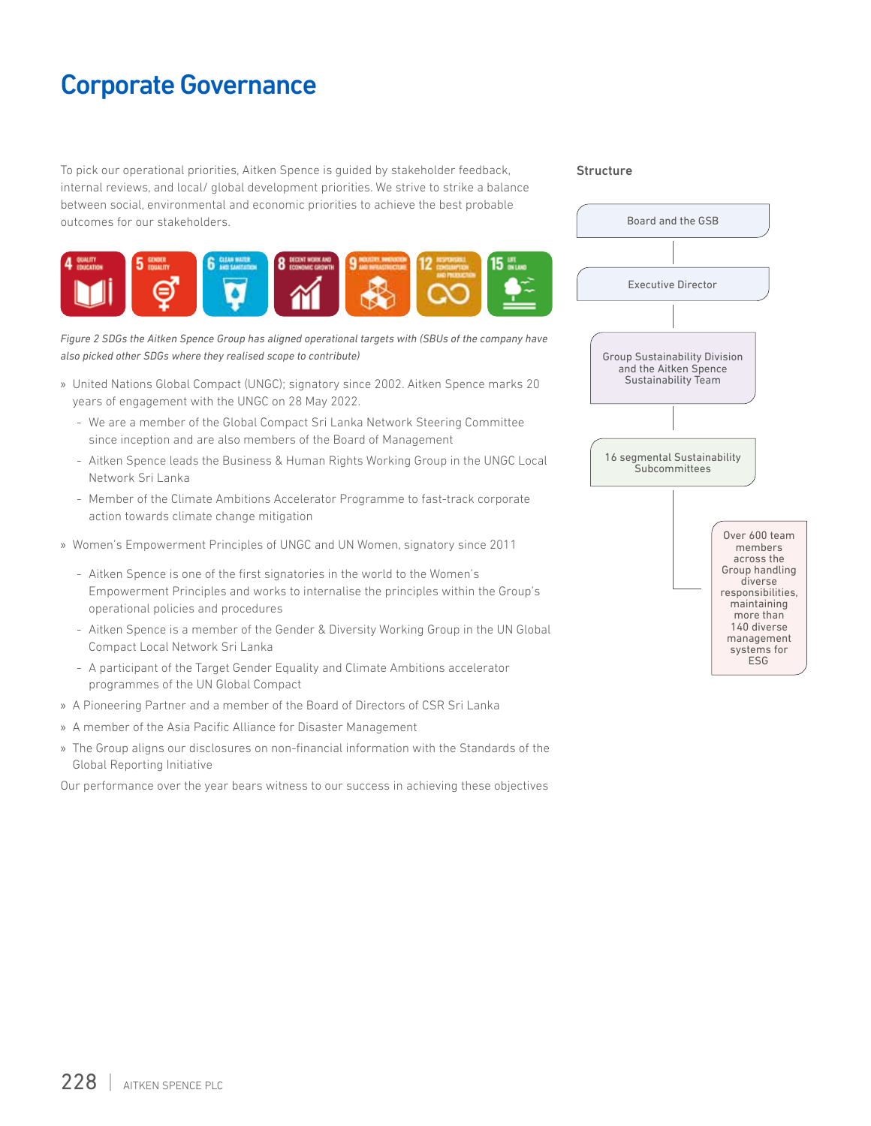To pick our operational priorities, Aitken Spence is guided by stakeholder feedback, internal reviews, and local/ global development priorities. We strive to strike a balance between social, environmental and economic priorities to achieve the best probable outcomes for our stakeholders.



*Figure 2 SDGs the Aitken Spence Group has aligned operational targets with (SBUs of the company have also picked other SDGs where they realised scope to contribute)*

- » United Nations Global Compact (UNGC); signatory since 2002. Aitken Spence marks 20 years of engagement with the UNGC on 28 May 2022.
	- We are a member of the Global Compact Sri Lanka Network Steering Committee since inception and are also members of the Board of Management
	- Aitken Spence leads the Business & Human Rights Working Group in the UNGC Local Network Sri Lanka
	- Member of the Climate Ambitions Accelerator Programme to fast-track corporate action towards climate change mitigation
- » Women's Empowerment Principles of UNGC and UN Women, signatory since 2011
	- Aitken Spence is one of the first signatories in the world to the Women's Empowerment Principles and works to internalise the principles within the Group's operational policies and procedures
	- Aitken Spence is a member of the Gender & Diversity Working Group in the UN Global Compact Local Network Sri Lanka
	- A participant of the Target Gender Equality and Climate Ambitions accelerator programmes of the UN Global Compact
- » A Pioneering Partner and a member of the Board of Directors of CSR Sri Lanka
- » A member of the Asia Pacific Alliance for Disaster Management
- » The Group aligns our disclosures on non-financial information with the Standards of the Global Reporting Initiative

Our performance over the year bears witness to our success in achieving these objectives

#### Structure

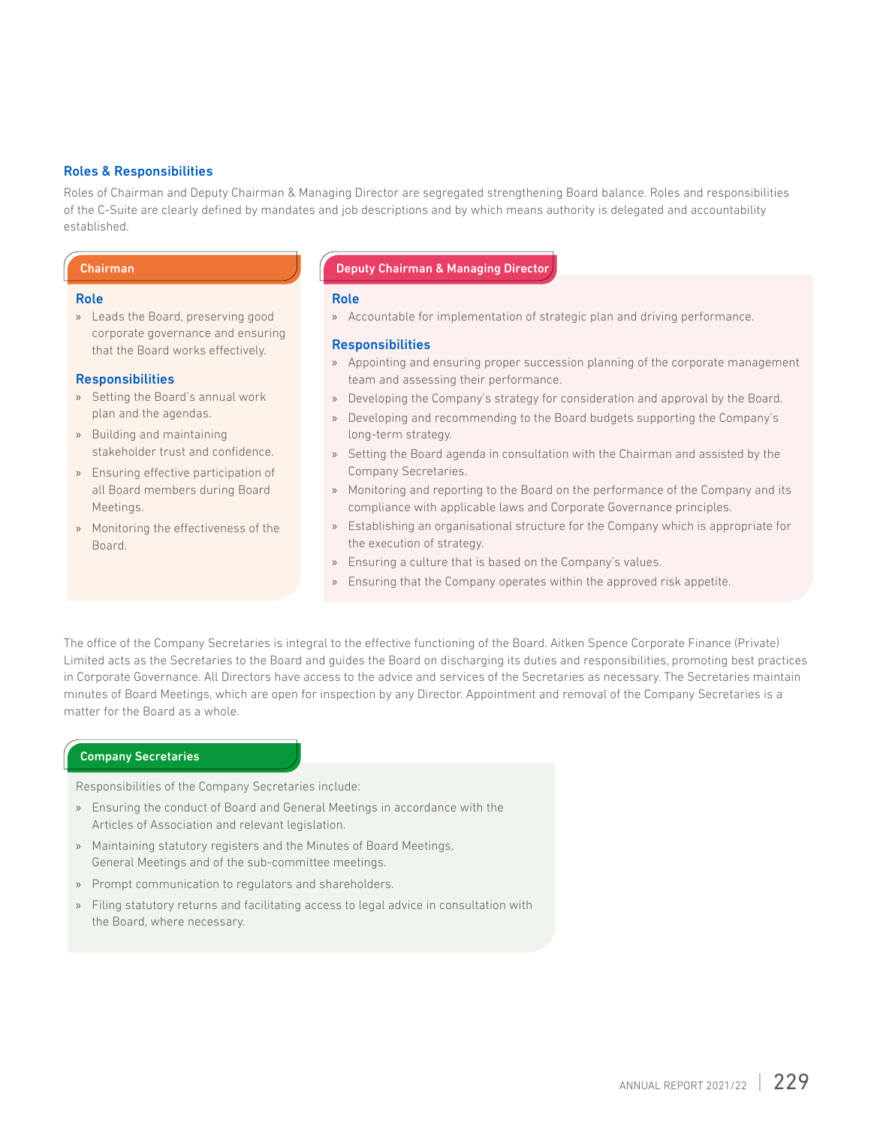#### Roles & Responsibilities

Roles of Chairman and Deputy Chairman & Managing Director are segregated strengthening Board balance. Roles and responsibilities of the C-Suite are clearly defined by mandates and job descriptions and by which means authority is delegated and accountability established.

#### Role

» Leads the Board, preserving good corporate governance and ensuring that the Board works effectively.

#### **Responsibilities**

- » Setting the Board's annual work plan and the agendas.
- » Building and maintaining stakeholder trust and confidence.
- » Ensuring effective participation of all Board members during Board Meetings.
- » Monitoring the effectiveness of the Board.

#### Chairman Deputy Chairman & Managing Director

#### Role

» Accountable for implementation of strategic plan and driving performance.

#### **Responsibilities**

- » Appointing and ensuring proper succession planning of the corporate management team and assessing their performance.
- » Developing the Company's strategy for consideration and approval by the Board.
- » Developing and recommending to the Board budgets supporting the Company's long-term strategy.
- » Setting the Board agenda in consultation with the Chairman and assisted by the Company Secretaries.
- » Monitoring and reporting to the Board on the performance of the Company and its compliance with applicable laws and Corporate Governance principles.
- » Establishing an organisational structure for the Company which is appropriate for the execution of strategy.
- » Ensuring a culture that is based on the Company's values.
- » Ensuring that the Company operates within the approved risk appetite.

The office of the Company Secretaries is integral to the effective functioning of the Board. Aitken Spence Corporate Finance (Private) Limited acts as the Secretaries to the Board and guides the Board on discharging its duties and responsibilities, promoting best practices in Corporate Governance. All Directors have access to the advice and services of the Secretaries as necessary. The Secretaries maintain minutes of Board Meetings, which are open for inspection by any Director. Appointment and removal of the Company Secretaries is a matter for the Board as a whole.

#### Company Secretaries

Responsibilities of the Company Secretaries include:

- » Ensuring the conduct of Board and General Meetings in accordance with the Articles of Association and relevant legislation.
- » Maintaining statutory registers and the Minutes of Board Meetings, General Meetings and of the sub-committee meetings.
- » Prompt communication to regulators and shareholders.
- » Filing statutory returns and facilitating access to legal advice in consultation with the Board, where necessary.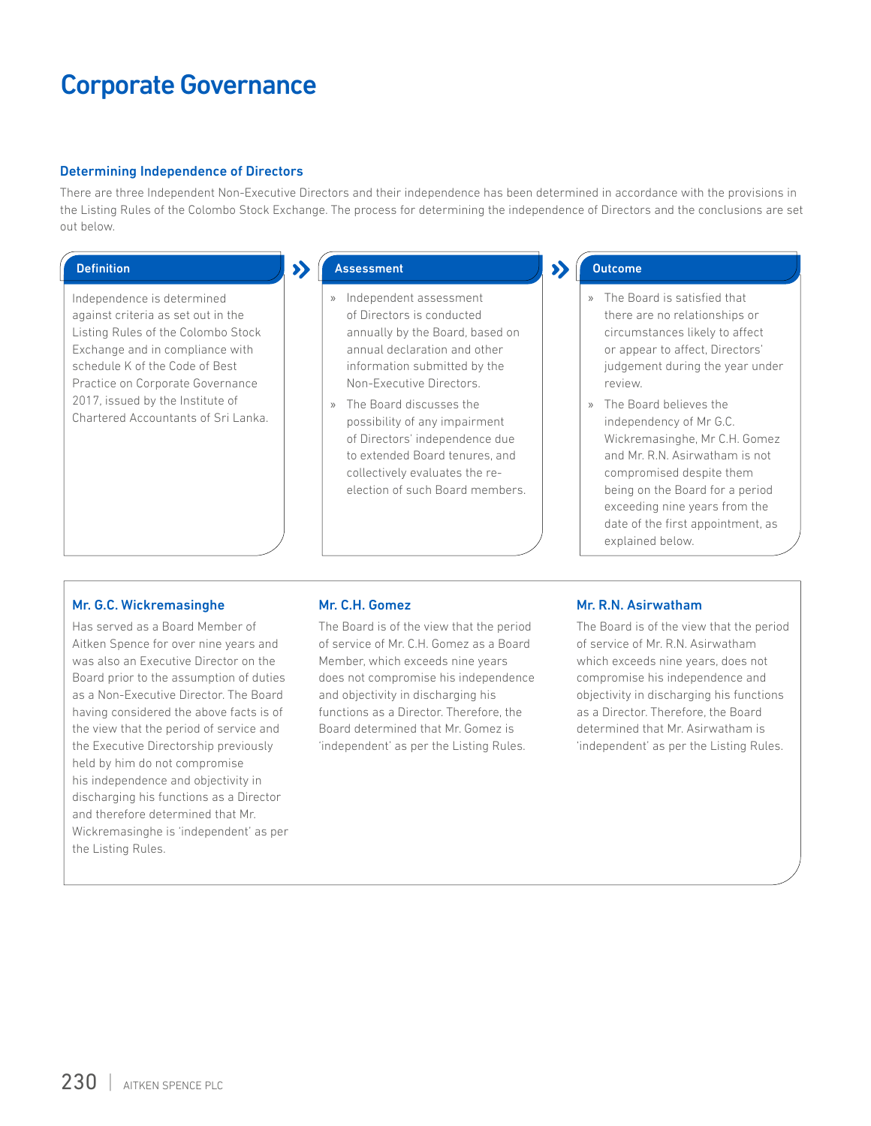#### Determining Independence of Directors

There are three Independent Non-Executive Directors and their independence has been determined in accordance with the provisions in the Listing Rules of the Colombo Stock Exchange. The process for determining the independence of Directors and the conclusions are set out below.

Independence is determined against criteria as set out in the Listing Rules of the Colombo Stock Exchange and in compliance with schedule K of the Code of Best Practice on Corporate Governance 2017, issued by the Institute of Chartered Accountants of Sri Lanka.

### Definition Assessment Assessment Assessment Assessment Outcome

- » Independent assessment of Directors is conducted annually by the Board, based on annual declaration and other information submitted by the Non-Executive Directors.
- » The Board discusses the possibility of any impairment of Directors' independence due to extended Board tenures, and collectively evaluates the reelection of such Board members.

- » The Board is satisfied that there are no relationships or circumstances likely to affect or appear to affect, Directors' judgement during the year under review.
- » The Board believes the independency of Mr G.C. Wickremasinghe, Mr C.H. Gomez and Mr. R.N. Asirwatham is not compromised despite them being on the Board for a period exceeding nine years from the date of the first appointment, as explained below.

#### Mr. G.C. Wickremasinghe

Has served as a Board Member of Aitken Spence for over nine years and was also an Executive Director on the Board prior to the assumption of duties as a Non-Executive Director. The Board having considered the above facts is of the view that the period of service and the Executive Directorship previously held by him do not compromise his independence and objectivity in discharging his functions as a Director and therefore determined that Mr. Wickremasinghe is 'independent' as per the Listing Rules.

#### Mr. C.H. Gomez

The Board is of the view that the period of service of Mr. C.H. Gomez as a Board Member, which exceeds nine years does not compromise his independence and objectivity in discharging his functions as a Director. Therefore, the Board determined that Mr. Gomez is 'independent' as per the Listing Rules.

#### Mr. R.N. Asirwatham

The Board is of the view that the period of service of Mr. R.N. Asirwatham which exceeds nine years, does not compromise his independence and objectivity in discharging his functions as a Director. Therefore, the Board determined that Mr. Asirwatham is 'independent' as per the Listing Rules.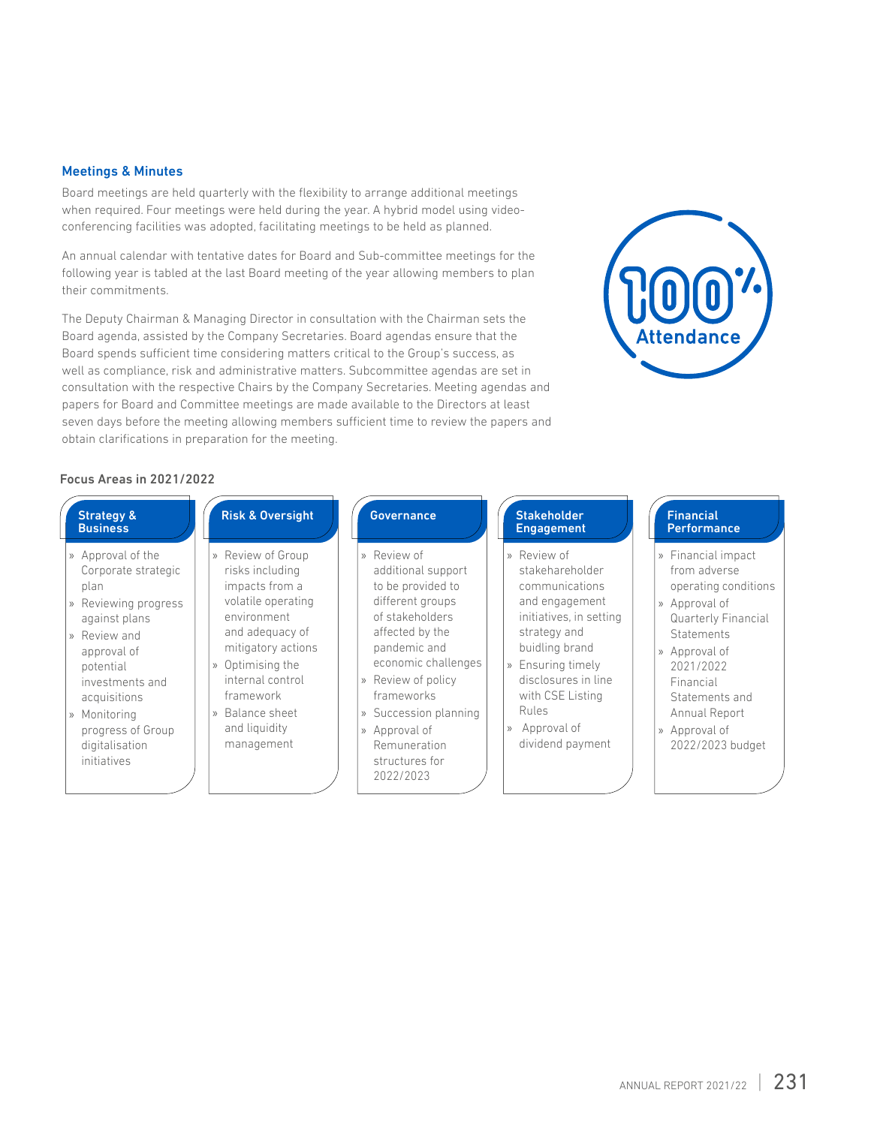#### Meetings & Minutes

Board meetings are held quarterly with the flexibility to arrange additional meetings when required. Four meetings were held during the year. A hybrid model using videoconferencing facilities was adopted, facilitating meetings to be held as planned.

An annual calendar with tentative dates for Board and Sub-committee meetings for the following year is tabled at the last Board meeting of the year allowing members to plan their commitments.

The Deputy Chairman & Managing Director in consultation with the Chairman sets the Board agenda, assisted by the Company Secretaries. Board agendas ensure that the Board spends sufficient time considering matters critical to the Group's success, as well as compliance, risk and administrative matters. Subcommittee agendas are set in consultation with the respective Chairs by the Company Secretaries. Meeting agendas and papers for Board and Committee meetings are made available to the Directors at least seven days before the meeting allowing members sufficient time to review the papers and obtain clarifications in preparation for the meeting.



#### Focus Areas in 2021/2022

| <b>Strategy &amp;</b><br><b>Business</b>                                                                                                                                                                                                                         | <b>Risk &amp; Oversight</b>                                                                                                                                                                                                                                                      | <b>Governance</b>                                                                                                                                                                                                                                                                               | <b>Stakeholder</b><br><b>Engagement</b>                                                                                                                                                                                                       | <b>Financial</b><br><b>Performance</b>                                                                                                                                                                                                            |
|------------------------------------------------------------------------------------------------------------------------------------------------------------------------------------------------------------------------------------------------------------------|----------------------------------------------------------------------------------------------------------------------------------------------------------------------------------------------------------------------------------------------------------------------------------|-------------------------------------------------------------------------------------------------------------------------------------------------------------------------------------------------------------------------------------------------------------------------------------------------|-----------------------------------------------------------------------------------------------------------------------------------------------------------------------------------------------------------------------------------------------|---------------------------------------------------------------------------------------------------------------------------------------------------------------------------------------------------------------------------------------------------|
| » Approval of the<br>Corporate strategic<br>plan<br>Reviewing progress<br>$\rangle$<br>against plans<br>Review and<br>$\gg$<br>approval of<br>potential<br>investments and<br>acquisitions<br>» Monitoring<br>progress of Group<br>digitalisation<br>initiatives | Review of Group<br>$\rangle$<br>risks including<br>impacts from a<br>volatile operating<br>environment<br>and adequacy of<br>mitigatory actions<br>Optimising the<br>$\rangle$<br>internal control<br>framework<br>Balance sheet<br>$\mathcal{V}$<br>and liquidity<br>management | » Review of<br>additional support<br>to be provided to<br>different groups<br>of stakeholders<br>affected by the<br>pandemic and<br>economic challenges<br>Review of policy<br>$\rangle$<br>frameworks<br>» Succession planning<br>» Approval of<br>Remuneration<br>structures for<br>2022/2023 | » Review of<br>stakehareholder<br>communications<br>and engagement<br>initiatives, in setting<br>strategy and<br>buidling brand<br>» Ensuring timely<br>disclosures in line<br>with CSE Listing<br>Rules<br>» Approval of<br>dividend payment | » Financial impact<br>from adverse<br>operating conditions<br>» Approval of<br><b>Quarterly Financial</b><br><b>Statements</b><br>» Approval of<br>2021/2022<br>Financial<br>Statements and<br>Annual Report<br>» Approval of<br>2022/2023 budget |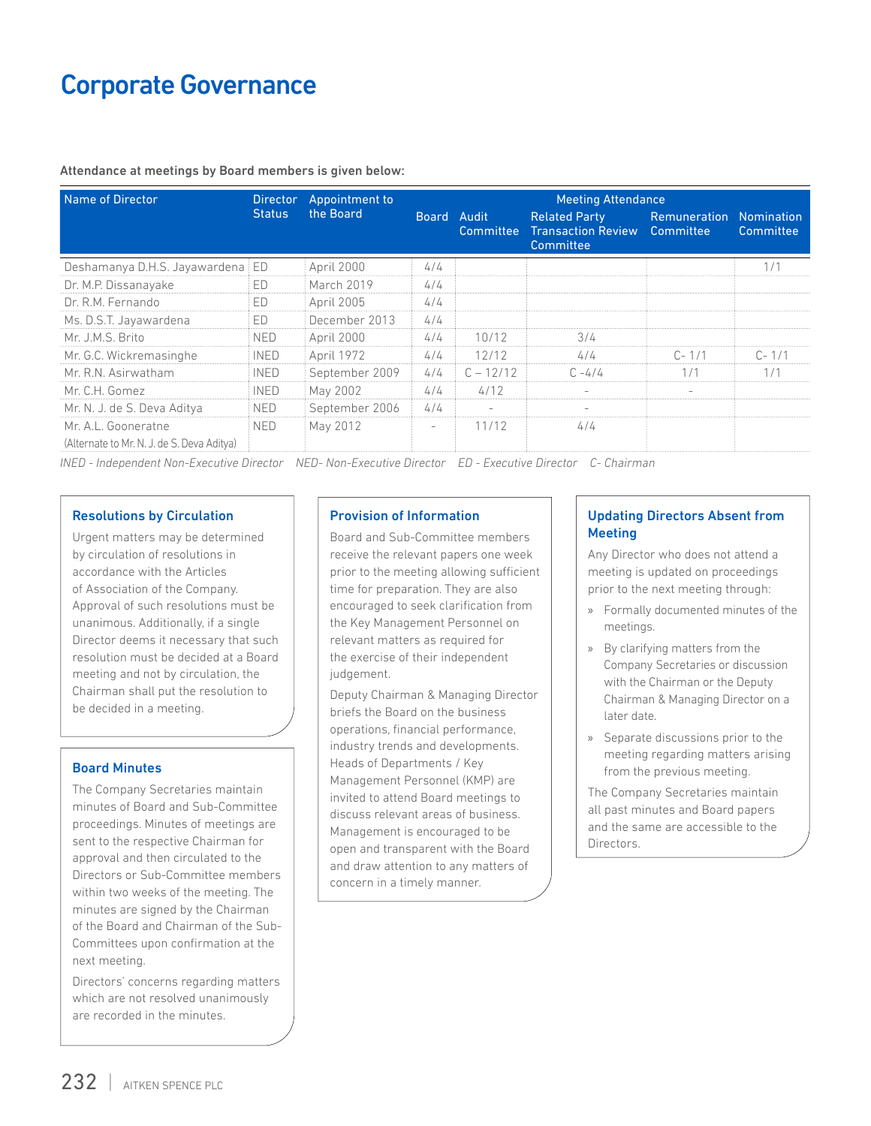Attendance at meetings by Board members is given below:

| Name of Director                           | <b>Director</b> | Appointment to | <b>Meeting Attendance</b> |                          |                                                                |                                  |                                |
|--------------------------------------------|-----------------|----------------|---------------------------|--------------------------|----------------------------------------------------------------|----------------------------------|--------------------------------|
|                                            | <b>Status</b>   | the Board      | <b>Board</b>              | Audit<br>Committee       | <b>Related Party</b><br><b>Transaction Review</b><br>Committee | <b>Remuneration</b><br>Committee | <b>Nomination</b><br>Committee |
| Deshamanya D.H.S. Jayawardena              | ED              | April 2000     | 4/4                       |                          |                                                                |                                  | 1/1                            |
| Dr. M.P. Dissanayake                       | <b>ED</b>       | March 2019     | 4/4                       |                          |                                                                |                                  |                                |
| Dr. R.M. Fernando                          | <b>ED</b>       | April 2005     | 4/4                       |                          |                                                                |                                  |                                |
| Ms. D.S.T. Jayawardena                     | <b>ED</b>       | December 2013  | 4/4                       |                          |                                                                |                                  |                                |
| Mr. J.M.S. Brito                           | <b>NED</b>      | April 2000     | 4/4                       | 10/12                    | 3/4                                                            |                                  |                                |
| Mr. G.C. Wickremasinghe                    | <b>INED</b>     | April 1972     | 4/4                       | 12/12                    | 4/4                                                            | $C - 1/1$                        | $C - 1/1$                      |
| Mr. R.N. Asirwatham                        | <b>INED</b>     | September 2009 | 4/4                       | $C - 12/12$              | $C - 4/4$                                                      | 1/1                              | 1/1                            |
| Mr. C.H. Gomez                             | <b>INED</b>     | May 2002       | 4/4                       | 4/12                     | $\overline{\phantom{a}}$                                       |                                  |                                |
| Mr. N. J. de S. Deva Aditya                | <b>NED</b>      | September 2006 | 4/4                       | $\overline{\phantom{a}}$ | $\overline{\phantom{a}}$                                       |                                  |                                |
| Mr. A.L. Gooneratne                        | <b>NED</b>      | May 2012       | $\overline{\phantom{a}}$  | 11/12                    | 4/4                                                            |                                  |                                |
| (Alternate to Mr. N. J. de S. Deva Aditya) |                 |                |                           |                          |                                                                |                                  |                                |

*INED - Independent Non-Executive Director NED- Non-Executive Director ED - Executive Director C- Chairman*

#### Resolutions by Circulation

Urgent matters may be determined by circulation of resolutions in accordance with the Articles of Association of the Company. Approval of such resolutions must be unanimous. Additionally, if a single Director deems it necessary that such resolution must be decided at a Board meeting and not by circulation, the Chairman shall put the resolution to be decided in a meeting.

#### Board Minutes

The Company Secretaries maintain minutes of Board and Sub-Committee proceedings. Minutes of meetings are sent to the respective Chairman for approval and then circulated to the Directors or Sub-Committee members within two weeks of the meeting. The minutes are signed by the Chairman of the Board and Chairman of the Sub-Committees upon confirmation at the next meeting.

Directors' concerns regarding matters which are not resolved unanimously are recorded in the minutes.

#### Provision of Information

Board and Sub-Committee members receive the relevant papers one week prior to the meeting allowing sufficient time for preparation. They are also encouraged to seek clarification from the Key Management Personnel on relevant matters as required for the exercise of their independent judgement.

Deputy Chairman & Managing Director briefs the Board on the business operations, financial performance, industry trends and developments. Heads of Departments / Key Management Personnel (KMP) are invited to attend Board meetings to discuss relevant areas of business. Management is encouraged to be open and transparent with the Board and draw attention to any matters of concern in a timely manner.

#### Updating Directors Absent from **Meeting**

Any Director who does not attend a meeting is updated on proceedings prior to the next meeting through:

- » Formally documented minutes of the meetings.
- » By clarifying matters from the Company Secretaries or discussion with the Chairman or the Deputy Chairman & Managing Director on a later date.
- » Separate discussions prior to the meeting regarding matters arising from the previous meeting.

The Company Secretaries maintain all past minutes and Board papers and the same are accessible to the Directors.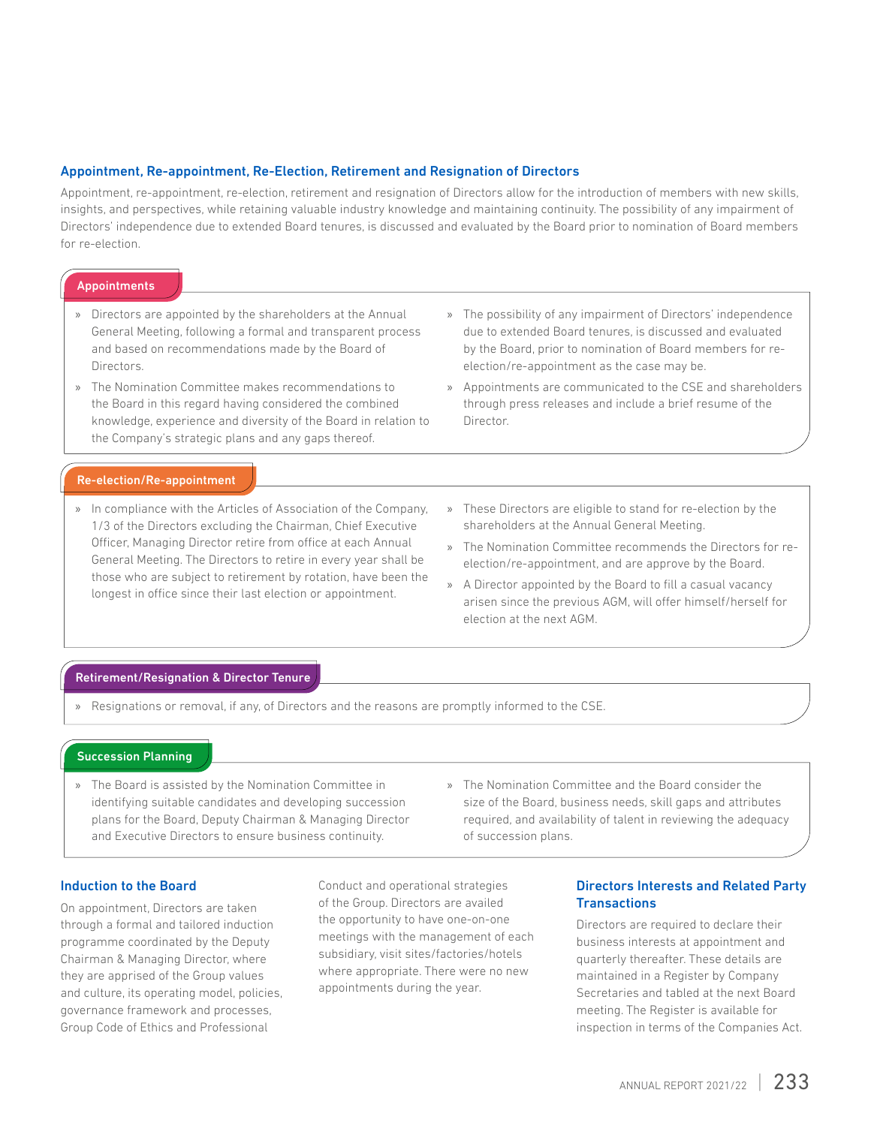#### Appointment, Re-appointment, Re-Election, Retirement and Resignation of Directors

Appointment, re-appointment, re-election, retirement and resignation of Directors allow for the introduction of members with new skills, insights, and perspectives, while retaining valuable industry knowledge and maintaining continuity. The possibility of any impairment of Directors' independence due to extended Board tenures, is discussed and evaluated by the Board prior to nomination of Board members for re-election.

#### **Appointments**

- » Directors are appointed by the shareholders at the Annual General Meeting, following a formal and transparent process and based on recommendations made by the Board of Directors.
- » The Nomination Committee makes recommendations to the Board in this regard having considered the combined knowledge, experience and diversity of the Board in relation to the Company's strategic plans and any gaps thereof.
- » The possibility of any impairment of Directors' independence due to extended Board tenures, is discussed and evaluated by the Board, prior to nomination of Board members for reelection/re-appointment as the case may be.
- » Appointments are communicated to the CSE and shareholders through press releases and include a brief resume of the Director.

#### Re-election/Re-appointment

- » In compliance with the Articles of Association of the Company, 1/3 of the Directors excluding the Chairman, Chief Executive Officer, Managing Director retire from office at each Annual General Meeting. The Directors to retire in every year shall be those who are subject to retirement by rotation, have been the longest in office since their last election or appointment.
- » These Directors are eligible to stand for re-election by the shareholders at the Annual General Meeting.
- » The Nomination Committee recommends the Directors for reelection/re-appointment, and are approve by the Board.
- » A Director appointed by the Board to fill a casual vacancy arisen since the previous AGM, will offer himself/herself for election at the next AGM.

#### Retirement/Resignation & Director Tenure

» Resignations or removal, if any, of Directors and the reasons are promptly informed to the CSE.

#### Succession Planning

- » The Board is assisted by the Nomination Committee in identifying suitable candidates and developing succession plans for the Board, Deputy Chairman & Managing Director and Executive Directors to ensure business continuity.
- » The Nomination Committee and the Board consider the size of the Board, business needs, skill gaps and attributes required, and availability of talent in reviewing the adequacy of succession plans.

#### Induction to the Board

On appointment, Directors are taken through a formal and tailored induction programme coordinated by the Deputy Chairman & Managing Director, where they are apprised of the Group values and culture, its operating model, policies, governance framework and processes, Group Code of Ethics and Professional

Conduct and operational strategies of the Group. Directors are availed the opportunity to have one-on-one meetings with the management of each subsidiary, visit sites/factories/hotels where appropriate. There were no new appointments during the year.

#### Directors Interests and Related Party **Transactions**

Directors are required to declare their business interests at appointment and quarterly thereafter. These details are maintained in a Register by Company Secretaries and tabled at the next Board meeting. The Register is available for inspection in terms of the Companies Act.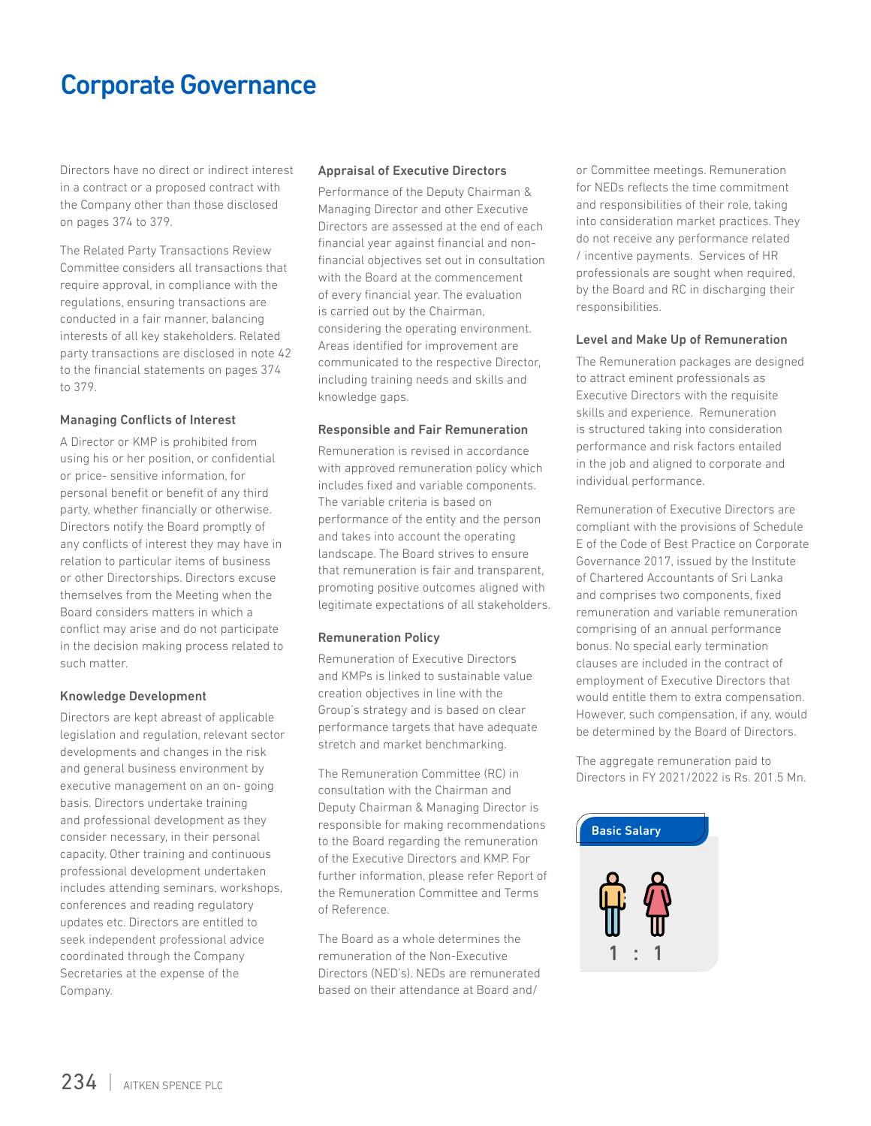Directors have no direct or indirect interest in a contract or a proposed contract with the Company other than those disclosed on pages 374 to 379.

The Related Party Transactions Review Committee considers all transactions that require approval, in compliance with the regulations, ensuring transactions are conducted in a fair manner, balancing interests of all key stakeholders. Related party transactions are disclosed in note 42 to the financial statements on pages 374 to 379.

#### Managing Conflicts of Interest

A Director or KMP is prohibited from using his or her position, or confidential or price- sensitive information, for personal benefit or benefit of any third party, whether financially or otherwise. Directors notify the Board promptly of any conflicts of interest they may have in relation to particular items of business or other Directorships. Directors excuse themselves from the Meeting when the Board considers matters in which a conflict may arise and do not participate in the decision making process related to such matter.

#### Knowledge Development

Directors are kept abreast of applicable legislation and regulation, relevant sector developments and changes in the risk and general business environment by executive management on an on- going basis. Directors undertake training and professional development as they consider necessary, in their personal capacity. Other training and continuous professional development undertaken includes attending seminars, workshops, conferences and reading regulatory updates etc. Directors are entitled to seek independent professional advice coordinated through the Company Secretaries at the expense of the Company.

#### Appraisal of Executive Directors

Performance of the Deputy Chairman & Managing Director and other Executive Directors are assessed at the end of each financial year against financial and nonfinancial objectives set out in consultation with the Board at the commencement of every financial year. The evaluation is carried out by the Chairman, considering the operating environment. Areas identified for improvement are communicated to the respective Director, including training needs and skills and knowledge gaps.

#### Responsible and Fair Remuneration

Remuneration is revised in accordance with approved remuneration policy which includes fixed and variable components. The variable criteria is based on performance of the entity and the person and takes into account the operating landscape. The Board strives to ensure that remuneration is fair and transparent, promoting positive outcomes aligned with legitimate expectations of all stakeholders.

#### Remuneration Policy

Remuneration of Executive Directors and KMPs is linked to sustainable value creation objectives in line with the Group's strategy and is based on clear performance targets that have adequate stretch and market benchmarking.

The Remuneration Committee (RC) in consultation with the Chairman and Deputy Chairman & Managing Director is responsible for making recommendations to the Board regarding the remuneration of the Executive Directors and KMP. For further information, please refer Report of the Remuneration Committee and Terms of Reference.

The Board as a whole determines the remuneration of the Non-Executive Directors (NED's). NEDs are remunerated based on their attendance at Board and/

or Committee meetings. Remuneration for NEDs reflects the time commitment and responsibilities of their role, taking into consideration market practices. They do not receive any performance related / incentive payments. Services of HR professionals are sought when required, by the Board and RC in discharging their responsibilities.

#### Level and Make Up of Remuneration

The Remuneration packages are designed to attract eminent professionals as Executive Directors with the requisite skills and experience. Remuneration is structured taking into consideration performance and risk factors entailed in the job and aligned to corporate and individual performance.

Remuneration of Executive Directors are compliant with the provisions of Schedule E of the Code of Best Practice on Corporate Governance 2017, issued by the Institute of Chartered Accountants of Sri Lanka and comprises two components, fixed remuneration and variable remuneration comprising of an annual performance bonus. No special early termination clauses are included in the contract of employment of Executive Directors that would entitle them to extra compensation. However, such compensation, if any, would be determined by the Board of Directors.

The aggregate remuneration paid to Directors in FY 2021/2022 is Rs. 201.5 Mn.

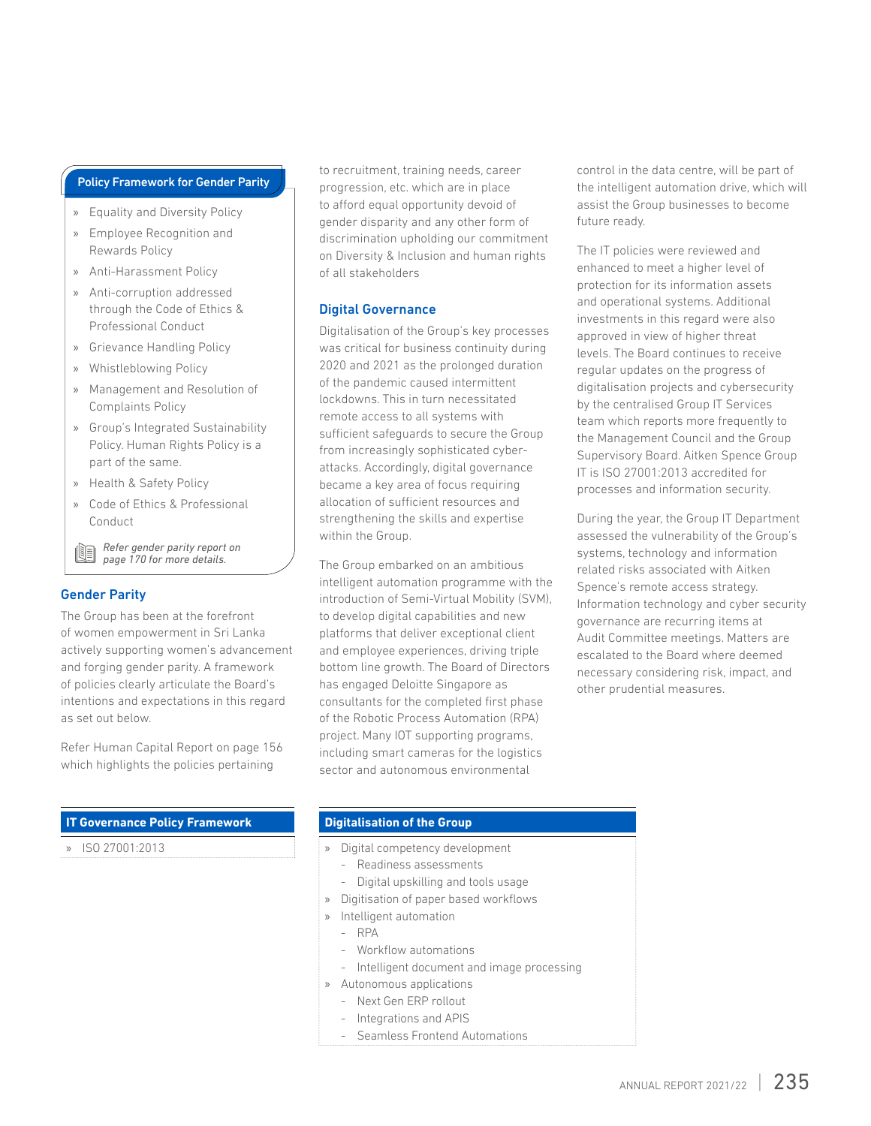#### Policy Framework for Gender Parity

- » Equality and Diversity Policy
- » Employee Recognition and Rewards Policy
- » Anti-Harassment Policy
- » Anti-corruption addressed through the Code of Ethics & Professional Conduct
- » Grievance Handling Policy
- » Whistleblowing Policy
- » Management and Resolution of Complaints Policy
- » Group's Integrated Sustainability Policy. Human Rights Policy is a part of the same.
- » Health & Safety Policy
- » Code of Ethics & Professional Conduct

*Refer gender parity report on*  (B *page 170 for more details.*

#### Gender Parity

The Group has been at the forefront of women empowerment in Sri Lanka actively supporting women's advancement and forging gender parity. A framework of policies clearly articulate the Board's intentions and expectations in this regard as set out below.

Refer Human Capital Report on page 156 which highlights the policies pertaining

#### **IT Governance Policy Framework**

» ISO 27001:2013

to recruitment, training needs, career progression, etc. which are in place to afford equal opportunity devoid of gender disparity and any other form of discrimination upholding our commitment on Diversity & Inclusion and human rights of all stakeholders

#### Digital Governance

Digitalisation of the Group's key processes was critical for business continuity during 2020 and 2021 as the prolonged duration of the pandemic caused intermittent lockdowns. This in turn necessitated remote access to all systems with sufficient safeguards to secure the Group from increasingly sophisticated cyberattacks. Accordingly, digital governance became a key area of focus requiring allocation of sufficient resources and strengthening the skills and expertise within the Group.

The Group embarked on an ambitious intelligent automation programme with the introduction of Semi-Virtual Mobility (SVM), to develop digital capabilities and new platforms that deliver exceptional client and employee experiences, driving triple bottom line growth. The Board of Directors has engaged Deloitte Singapore as consultants for the completed first phase of the Robotic Process Automation (RPA) project. Many IOT supporting programs, including smart cameras for the logistics sector and autonomous environmental

control in the data centre, will be part of the intelligent automation drive, which will assist the Group businesses to become future ready.

The IT policies were reviewed and enhanced to meet a higher level of protection for its information assets and operational systems. Additional investments in this regard were also approved in view of higher threat levels. The Board continues to receive regular updates on the progress of digitalisation projects and cybersecurity by the centralised Group IT Services team which reports more frequently to the Management Council and the Group Supervisory Board. Aitken Spence Group IT is ISO 27001:2013 accredited for processes and information security.

During the year, the Group IT Department assessed the vulnerability of the Group's systems, technology and information related risks associated with Aitken Spence's remote access strategy. Information technology and cyber security governance are recurring items at Audit Committee meetings. Matters are escalated to the Board where deemed necessary considering risk, impact, and other prudential measures.

#### **Digitalisation of the Group**

- » Digital competency development
	- Readiness assessments
	- Digital upskilling and tools usage
- » Digitisation of paper based workflows
- » Intelligent automation
	- RPA
	- Workflow automations
	- Intelligent document and image processing
- » Autonomous applications
	- Next Gen ERP rollout
	- Integrations and APIS
	- Seamless Frontend Automations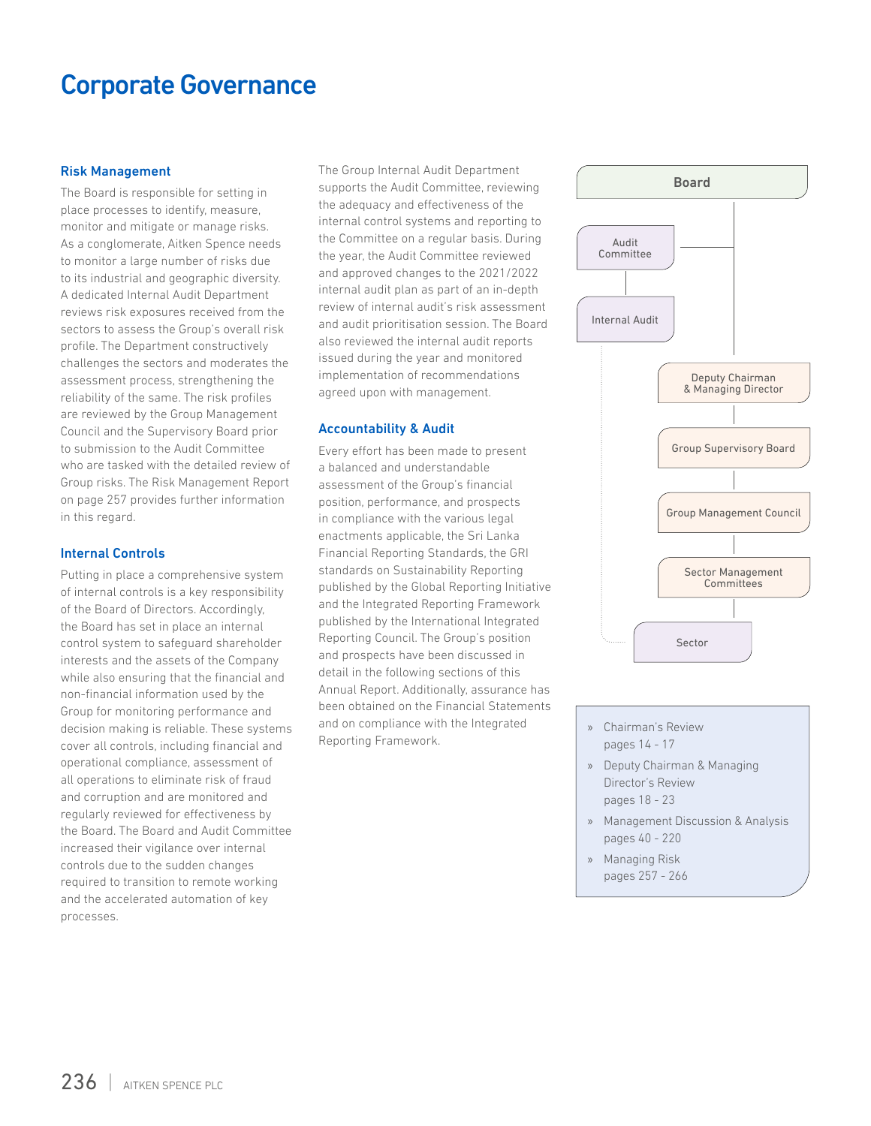#### Risk Management

The Board is responsible for setting in place processes to identify, measure, monitor and mitigate or manage risks. As a conglomerate, Aitken Spence needs to monitor a large number of risks due to its industrial and geographic diversity. A dedicated Internal Audit Department reviews risk exposures received from the sectors to assess the Group's overall risk profile. The Department constructively challenges the sectors and moderates the assessment process, strengthening the reliability of the same. The risk profiles are reviewed by the Group Management Council and the Supervisory Board prior to submission to the Audit Committee who are tasked with the detailed review of Group risks. The Risk Management Report on page 257 provides further information in this regard.

#### Internal Controls

Putting in place a comprehensive system of internal controls is a key responsibility of the Board of Directors. Accordingly, the Board has set in place an internal control system to safeguard shareholder interests and the assets of the Company while also ensuring that the financial and non-financial information used by the Group for monitoring performance and decision making is reliable. These systems cover all controls, including financial and operational compliance, assessment of all operations to eliminate risk of fraud and corruption and are monitored and regularly reviewed for effectiveness by the Board. The Board and Audit Committee increased their vigilance over internal controls due to the sudden changes required to transition to remote working and the accelerated automation of key processes.

The Group Internal Audit Department supports the Audit Committee, reviewing the adequacy and effectiveness of the internal control systems and reporting to the Committee on a regular basis. During the year, the Audit Committee reviewed and approved changes to the 2021/2022 internal audit plan as part of an in-depth review of internal audit's risk assessment and audit prioritisation session. The Board also reviewed the internal audit reports issued during the year and monitored implementation of recommendations agreed upon with management.

#### Accountability & Audit

Every effort has been made to present a balanced and understandable assessment of the Group's financial position, performance, and prospects in compliance with the various legal enactments applicable, the Sri Lanka Financial Reporting Standards, the GRI standards on Sustainability Reporting published by the Global Reporting Initiative and the Integrated Reporting Framework published by the International Integrated Reporting Council. The Group's position and prospects have been discussed in detail in the following sections of this Annual Report. Additionally, assurance has been obtained on the Financial Statements and on compliance with the Integrated Reporting Framework.



- » Chairman's Review pages 14 - 17
- » Deputy Chairman & Managing Director's Review pages 18 - 23
- » Management Discussion & Analysis pages 40 - 220
- » Managing Risk pages 257 - 266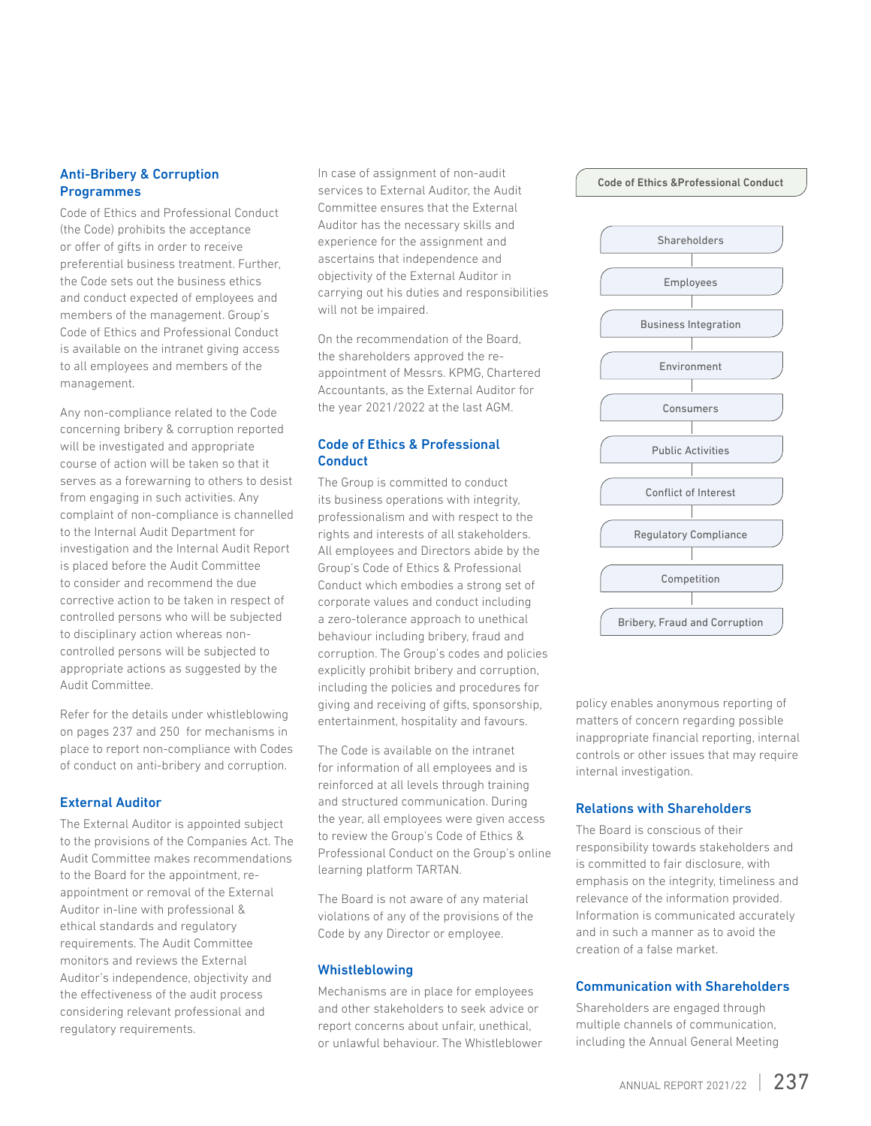#### Anti-Bribery & Corruption **Programmes**

Code of Ethics and Professional Conduct (the Code) prohibits the acceptance or offer of gifts in order to receive preferential business treatment. Further, the Code sets out the business ethics and conduct expected of employees and members of the management. Group's Code of Ethics and Professional Conduct is available on the intranet giving access to all employees and members of the management.

Any non-compliance related to the Code concerning bribery & corruption reported will be investigated and appropriate course of action will be taken so that it serves as a forewarning to others to desist from engaging in such activities. Any complaint of non-compliance is channelled to the Internal Audit Department for investigation and the Internal Audit Report is placed before the Audit Committee to consider and recommend the due corrective action to be taken in respect of controlled persons who will be subjected to disciplinary action whereas noncontrolled persons will be subjected to appropriate actions as suggested by the Audit Committee.

Refer for the details under whistleblowing on pages 237 and 250 for mechanisms in place to report non-compliance with Codes of conduct on anti-bribery and corruption.

#### External Auditor

The External Auditor is appointed subject to the provisions of the Companies Act. The Audit Committee makes recommendations to the Board for the appointment, reappointment or removal of the External Auditor in-line with professional & ethical standards and regulatory requirements. The Audit Committee monitors and reviews the External Auditor's independence, objectivity and the effectiveness of the audit process considering relevant professional and regulatory requirements.

In case of assignment of non-audit services to External Auditor, the Audit Committee ensures that the External Auditor has the necessary skills and experience for the assignment and ascertains that independence and objectivity of the External Auditor in carrying out his duties and responsibilities will not be impaired.

On the recommendation of the Board, the shareholders approved the reappointment of Messrs. KPMG, Chartered Accountants, as the External Auditor for the year 2021/2022 at the last AGM.

#### Code of Ethics & Professional **Conduct**

The Group is committed to conduct its business operations with integrity, professionalism and with respect to the rights and interests of all stakeholders. All employees and Directors abide by the Group's Code of Ethics & Professional Conduct which embodies a strong set of corporate values and conduct including a zero-tolerance approach to unethical behaviour including bribery, fraud and corruption. The Group's codes and policies explicitly prohibit bribery and corruption, including the policies and procedures for giving and receiving of gifts, sponsorship, entertainment, hospitality and favours.

The Code is available on the intranet for information of all employees and is reinforced at all levels through training and structured communication. During the year, all employees were given access to review the Group's Code of Ethics & Professional Conduct on the Group's online learning platform TARTAN.

The Board is not aware of any material violations of any of the provisions of the Code by any Director or employee.

#### Whistleblowing

Mechanisms are in place for employees and other stakeholders to seek advice or report concerns about unfair, unethical, or unlawful behaviour. The Whistleblower



policy enables anonymous reporting of matters of concern regarding possible inappropriate financial reporting, internal controls or other issues that may require internal investigation.

#### Relations with Shareholders

The Board is conscious of their responsibility towards stakeholders and is committed to fair disclosure, with emphasis on the integrity, timeliness and relevance of the information provided. Information is communicated accurately and in such a manner as to avoid the creation of a false market.

### Communication with Shareholders

Shareholders are engaged through multiple channels of communication, including the Annual General Meeting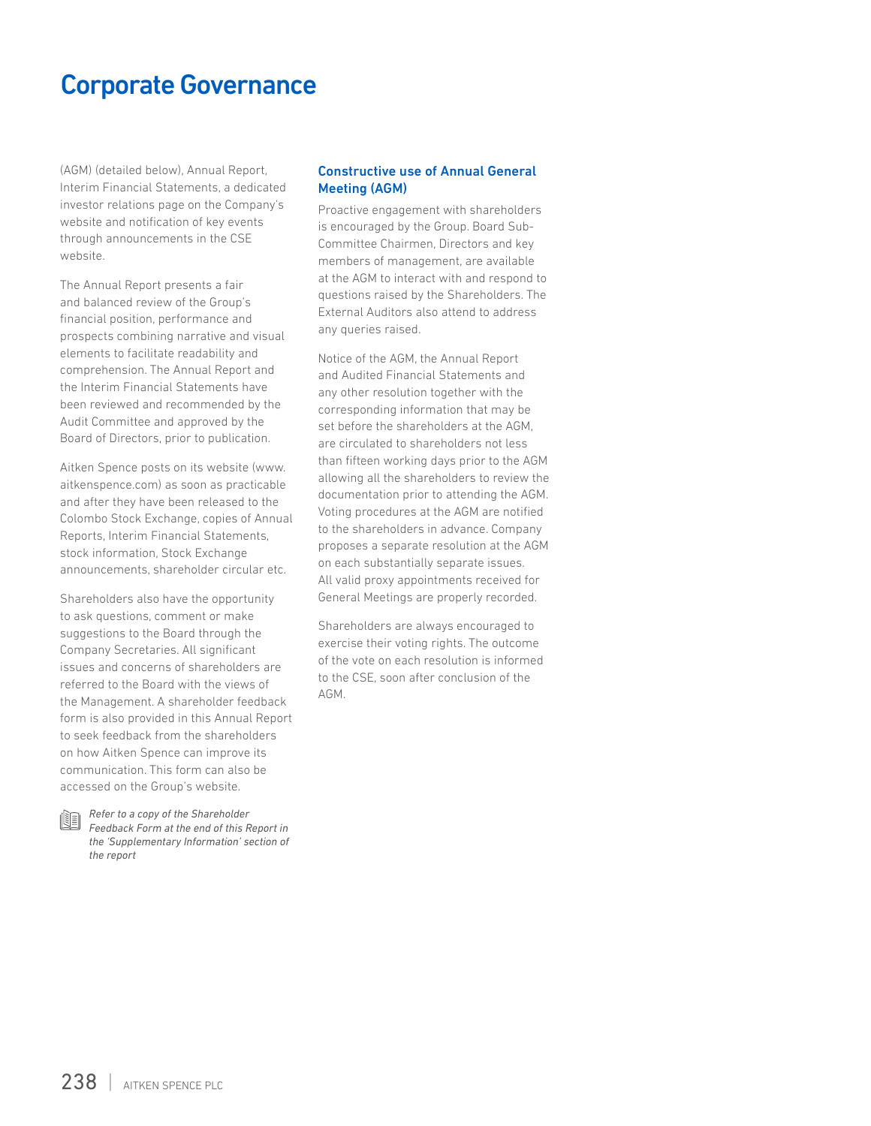(AGM) (detailed below), Annual Report, Interim Financial Statements, a dedicated investor relations page on the Company's website and notification of key events through announcements in the CSE website.

The Annual Report presents a fair and balanced review of the Group's financial position, performance and prospects combining narrative and visual elements to facilitate readability and comprehension. The Annual Report and the Interim Financial Statements have been reviewed and recommended by the Audit Committee and approved by the Board of Directors, prior to publication.

Aitken Spence posts on its website (www. aitkenspence.com) as soon as practicable and after they have been released to the Colombo Stock Exchange, copies of Annual Reports, Interim Financial Statements, stock information, Stock Exchange announcements, shareholder circular etc.

Shareholders also have the opportunity to ask questions, comment or make suggestions to the Board through the Company Secretaries. All significant issues and concerns of shareholders are referred to the Board with the views of the Management. A shareholder feedback form is also provided in this Annual Report to seek feedback from the shareholders on how Aitken Spence can improve its communication. This form can also be accessed on the Group's website.

*Refer to a copy of the Shareholder Feedback Form at the end of this Report in the 'Supplementary Information' section of the report*

#### Constructive use of Annual General Meeting (AGM)

Proactive engagement with shareholders is encouraged by the Group. Board Sub-Committee Chairmen, Directors and key members of management, are available at the AGM to interact with and respond to questions raised by the Shareholders. The External Auditors also attend to address any queries raised.

Notice of the AGM, the Annual Report and Audited Financial Statements and any other resolution together with the corresponding information that may be set before the shareholders at the AGM, are circulated to shareholders not less than fifteen working days prior to the AGM allowing all the shareholders to review the documentation prior to attending the AGM. Voting procedures at the AGM are notified to the shareholders in advance. Company proposes a separate resolution at the AGM on each substantially separate issues. All valid proxy appointments received for General Meetings are properly recorded.

Shareholders are always encouraged to exercise their voting rights. The outcome of the vote on each resolution is informed to the CSE, soon after conclusion of the AGM.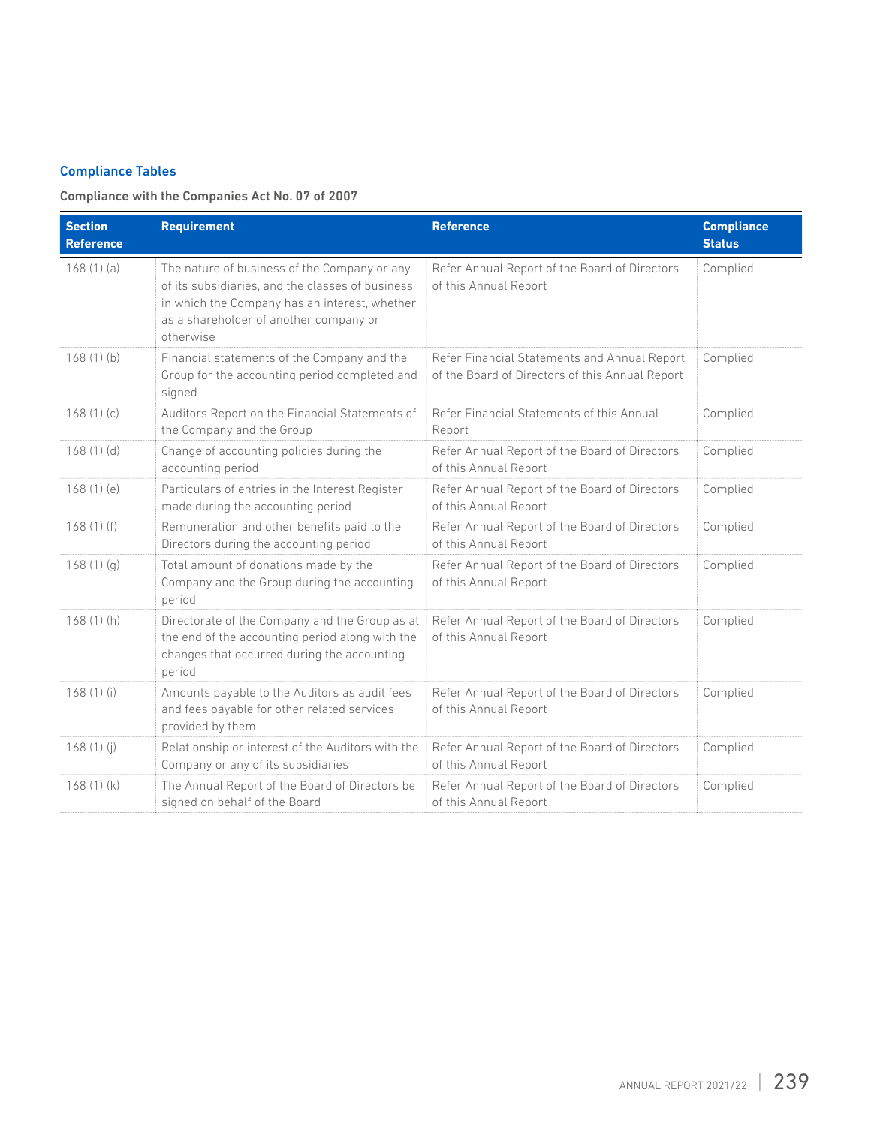#### Compliance Tables

### Compliance with the Companies Act No. 07 of 2007

| <b>Section</b><br><b>Reference</b> | <b>Requirement</b>                                                                                                                                                                                       | <b>Reference</b>                                                                                | <b>Compliance</b><br><b>Status</b> |
|------------------------------------|----------------------------------------------------------------------------------------------------------------------------------------------------------------------------------------------------------|-------------------------------------------------------------------------------------------------|------------------------------------|
| 168(1)(a)                          | The nature of business of the Company or any<br>of its subsidiaries, and the classes of business<br>in which the Company has an interest, whether<br>as a shareholder of another company or<br>otherwise | Refer Annual Report of the Board of Directors<br>of this Annual Report                          | Complied                           |
| 168(1)(b)                          | Financial statements of the Company and the<br>Group for the accounting period completed and<br>signed                                                                                                   | Refer Financial Statements and Annual Report<br>of the Board of Directors of this Annual Report | Complied                           |
| 168(1)(c)                          | Auditors Report on the Financial Statements of<br>the Company and the Group                                                                                                                              | Refer Financial Statements of this Annual<br>Report                                             | Complied                           |
| 168(1)(d)                          | Change of accounting policies during the<br>accounting period                                                                                                                                            | Refer Annual Report of the Board of Directors<br>of this Annual Report                          | Complied                           |
| 168(1)(e)                          | Particulars of entries in the Interest Register<br>made during the accounting period                                                                                                                     | Refer Annual Report of the Board of Directors<br>of this Annual Report                          | Complied                           |
| 168(1)(f)                          | Remuneration and other benefits paid to the<br>Directors during the accounting period                                                                                                                    | Refer Annual Report of the Board of Directors<br>of this Annual Report                          | Complied                           |
| 168(1)(q)                          | Total amount of donations made by the<br>Company and the Group during the accounting<br>period                                                                                                           | Refer Annual Report of the Board of Directors<br>of this Annual Report                          | Complied                           |
| 168(1)(h)                          | Directorate of the Company and the Group as at<br>the end of the accounting period along with the<br>changes that occurred during the accounting<br>period                                               | Refer Annual Report of the Board of Directors<br>of this Annual Report                          | Complied                           |
| 168(1)(i)                          | Amounts payable to the Auditors as audit fees<br>and fees payable for other related services<br>provided by them                                                                                         | Refer Annual Report of the Board of Directors<br>of this Annual Report                          | Complied                           |
| 168(1)(i)                          | Relationship or interest of the Auditors with the<br>Company or any of its subsidiaries                                                                                                                  | Refer Annual Report of the Board of Directors<br>of this Annual Report                          | Complied                           |
| 168(1)(k)                          | The Annual Report of the Board of Directors be<br>signed on behalf of the Board                                                                                                                          | Refer Annual Report of the Board of Directors<br>of this Annual Report                          | Complied                           |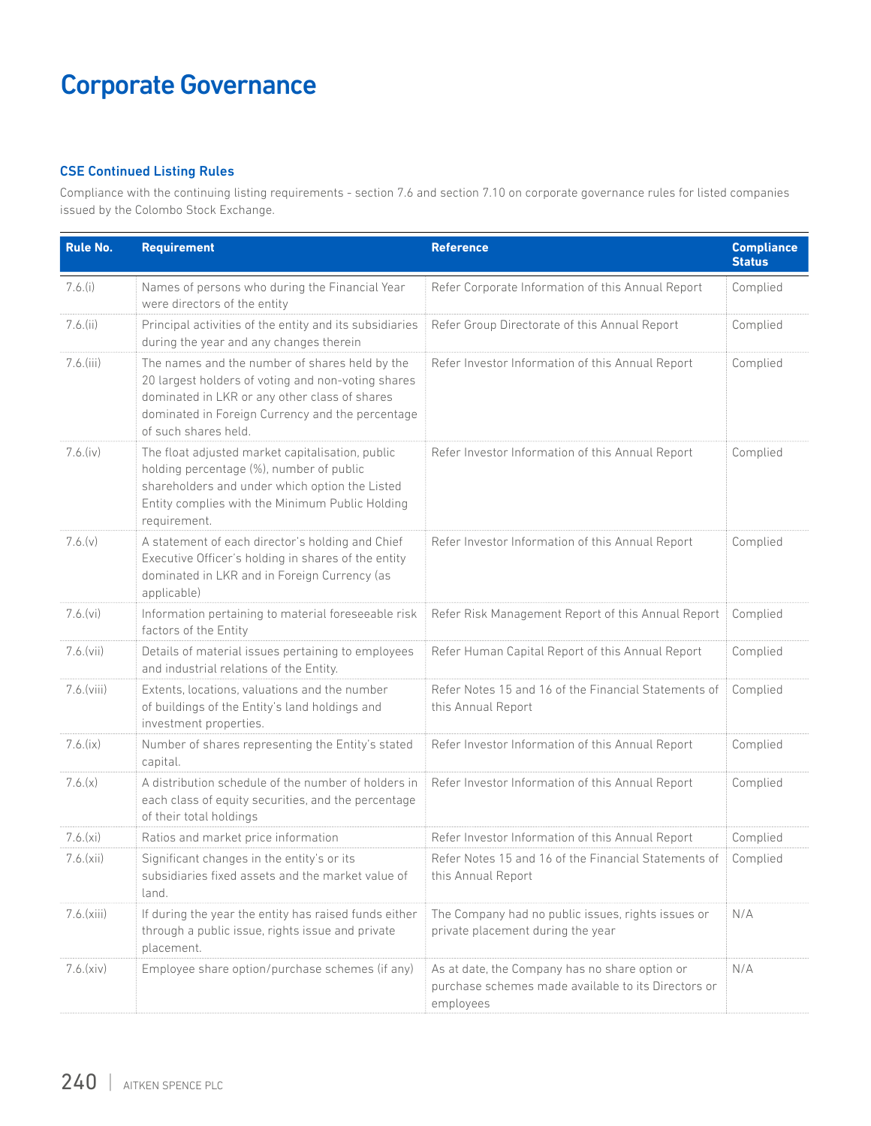#### CSE Continued Listing Rules

Compliance with the continuing listing requirements - section 7.6 and section 7.10 on corporate governance rules for listed companies issued by the Colombo Stock Exchange.

| <b>Rule No.</b> | <b>Requirement</b>                                                                                                                                                                                                                | <b>Reference</b>                                                                                                   | <b>Compliance</b><br><b>Status</b> |
|-----------------|-----------------------------------------------------------------------------------------------------------------------------------------------------------------------------------------------------------------------------------|--------------------------------------------------------------------------------------------------------------------|------------------------------------|
| $7.6.$ (i)      | Names of persons who during the Financial Year<br>were directors of the entity                                                                                                                                                    | Refer Corporate Information of this Annual Report                                                                  | Complied                           |
| $7.6$ .(ii)     | Principal activities of the entity and its subsidiaries<br>during the year and any changes therein                                                                                                                                | Refer Group Directorate of this Annual Report                                                                      | Complied                           |
| $7.6$ . (iii)   | The names and the number of shares held by the<br>20 largest holders of voting and non-voting shares<br>dominated in LKR or any other class of shares<br>dominated in Foreign Currency and the percentage<br>of such shares held. | Refer Investor Information of this Annual Report                                                                   | Complied                           |
| $7.6.$ (iv)     | The float adjusted market capitalisation, public<br>holding percentage (%), number of public<br>shareholders and under which option the Listed<br>Entity complies with the Minimum Public Holding<br>requirement.                 | Refer Investor Information of this Annual Report                                                                   | Complied                           |
| 7.6.(v)         | A statement of each director's holding and Chief<br>Executive Officer's holding in shares of the entity<br>dominated in LKR and in Foreign Currency (as<br>applicable)                                                            | Refer Investor Information of this Annual Report                                                                   | Complied                           |
| 7.6.(vi)        | Information pertaining to material foreseeable risk<br>factors of the Entity                                                                                                                                                      | Refer Risk Management Report of this Annual Report                                                                 | Complied                           |
| 7.6.(vii)       | Details of material issues pertaining to employees<br>and industrial relations of the Entity.                                                                                                                                     | Refer Human Capital Report of this Annual Report                                                                   | Complied                           |
| 7.6.(viii)      | Extents, locations, valuations and the number<br>of buildings of the Entity's land holdings and<br>investment properties.                                                                                                         | Refer Notes 15 and 16 of the Financial Statements of<br>this Annual Report                                         | Complied                           |
| 7.6.(ix)        | Number of shares representing the Entity's stated<br>capital.                                                                                                                                                                     | Refer Investor Information of this Annual Report                                                                   | Complied                           |
| 7.6.(x)         | A distribution schedule of the number of holders in<br>each class of equity securities, and the percentage<br>of their total holdings                                                                                             | Refer Investor Information of this Annual Report                                                                   | Complied                           |
| 7.6.(xi)        | Ratios and market price information                                                                                                                                                                                               | Refer Investor Information of this Annual Report                                                                   | Complied                           |
| 7.6.(xii)       | Significant changes in the entity's or its<br>subsidiaries fixed assets and the market value of<br>land.                                                                                                                          | Refer Notes 15 and 16 of the Financial Statements of<br>this Annual Report                                         | Complied                           |
| 7.6.(xiii)      | If during the year the entity has raised funds either<br>through a public issue, rights issue and private<br>placement.                                                                                                           | The Company had no public issues, rights issues or<br>private placement during the year                            | N/A                                |
| 7.6.(xiv)       | Employee share option/purchase schemes (if any)                                                                                                                                                                                   | As at date, the Company has no share option or<br>purchase schemes made available to its Directors or<br>employees | N/A                                |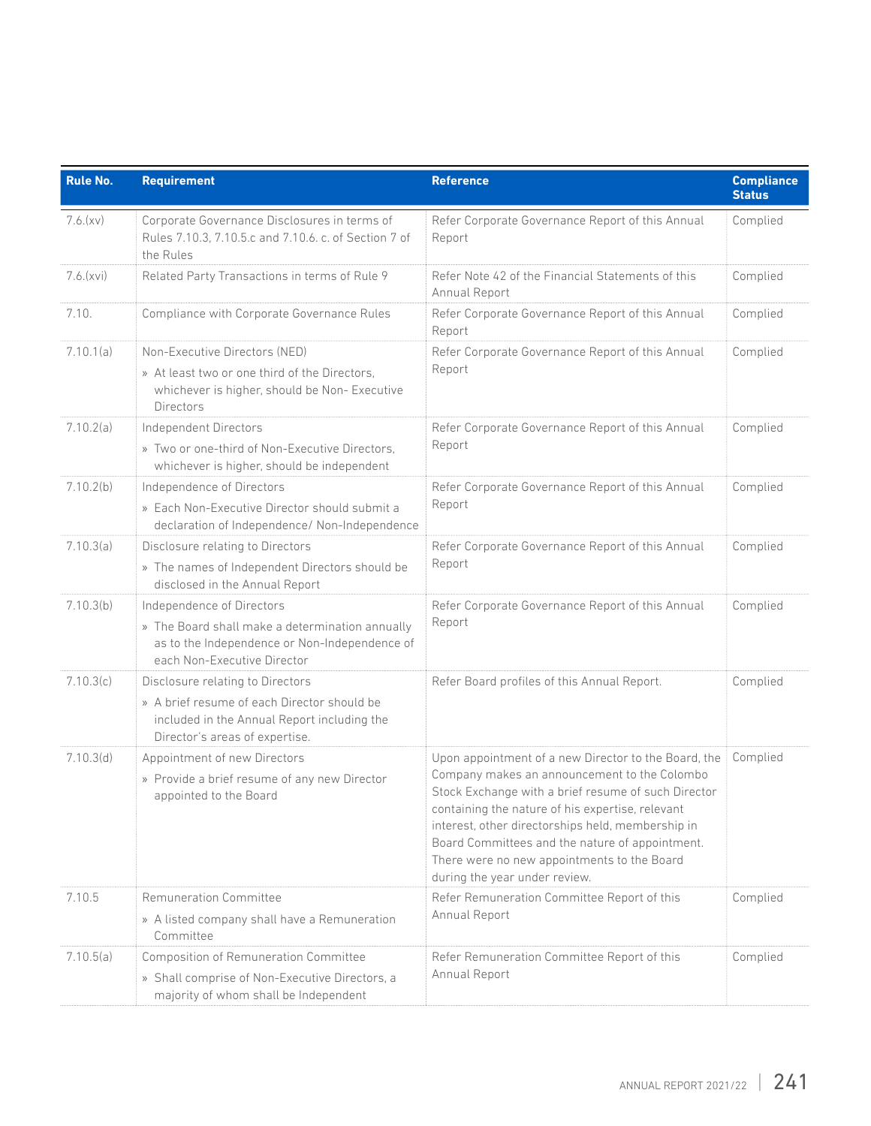| <b>Rule No.</b> | <b>Requirement</b>                                                                                                                                               | <b>Reference</b>                                                                                                                                                                                                                                                                                                                                                                                        | <b>Compliance</b><br><b>Status</b> |
|-----------------|------------------------------------------------------------------------------------------------------------------------------------------------------------------|---------------------------------------------------------------------------------------------------------------------------------------------------------------------------------------------------------------------------------------------------------------------------------------------------------------------------------------------------------------------------------------------------------|------------------------------------|
| 7.6.(xv)        | Corporate Governance Disclosures in terms of<br>Rules 7.10.3, 7.10.5.c and 7.10.6. c. of Section 7 of<br>the Rules                                               | Refer Corporate Governance Report of this Annual<br>Report                                                                                                                                                                                                                                                                                                                                              | Complied                           |
| 7.6.(xvi)       | Related Party Transactions in terms of Rule 9                                                                                                                    | Refer Note 42 of the Financial Statements of this<br>Annual Report                                                                                                                                                                                                                                                                                                                                      | Complied                           |
| 7.10.           | Compliance with Corporate Governance Rules                                                                                                                       | Refer Corporate Governance Report of this Annual<br>Report                                                                                                                                                                                                                                                                                                                                              | Complied                           |
| 7.10.1(a)       | Non-Executive Directors (NED)<br>» At least two or one third of the Directors,<br>whichever is higher, should be Non-Executive<br><b>Directors</b>               | Refer Corporate Governance Report of this Annual<br>Report                                                                                                                                                                                                                                                                                                                                              | Complied                           |
| 7.10.2(a)       | Independent Directors<br>» Two or one-third of Non-Executive Directors,<br>whichever is higher, should be independent                                            | Refer Corporate Governance Report of this Annual<br>Report                                                                                                                                                                                                                                                                                                                                              | Complied                           |
| 7.10.2(b)       | Independence of Directors<br>» Each Non-Executive Director should submit a<br>declaration of Independence/ Non-Independence                                      | Refer Corporate Governance Report of this Annual<br>Report                                                                                                                                                                                                                                                                                                                                              | Complied                           |
| 7.10.3(a)       | Disclosure relating to Directors<br>» The names of Independent Directors should be<br>disclosed in the Annual Report                                             | Refer Corporate Governance Report of this Annual<br>Report                                                                                                                                                                                                                                                                                                                                              | Complied                           |
| 7.10.3(b)       | Independence of Directors<br>» The Board shall make a determination annually<br>as to the Independence or Non-Independence of<br>each Non-Executive Director     | Refer Corporate Governance Report of this Annual<br>Report                                                                                                                                                                                                                                                                                                                                              | Complied                           |
| 7.10.3(c)       | Disclosure relating to Directors<br>» A brief resume of each Director should be<br>included in the Annual Report including the<br>Director's areas of expertise. | Refer Board profiles of this Annual Report.                                                                                                                                                                                                                                                                                                                                                             | Complied                           |
| 7.10.3(d)       | Appointment of new Directors<br>» Provide a brief resume of any new Director<br>appointed to the Board                                                           | Upon appointment of a new Director to the Board, the<br>Company makes an announcement to the Colombo<br>Stock Exchange with a brief resume of such Director<br>containing the nature of his expertise, relevant<br>interest, other directorships held, membership in<br>Board Committees and the nature of appointment.<br>There were no new appointments to the Board<br>during the year under review. | Complied                           |
| 7.10.5          | Remuneration Committee<br>» A listed company shall have a Remuneration<br>Committee                                                                              | Refer Remuneration Committee Report of this<br>Annual Report                                                                                                                                                                                                                                                                                                                                            | Complied                           |
| 7.10.5(a)       | Composition of Remuneration Committee<br>» Shall comprise of Non-Executive Directors, a<br>majority of whom shall be Independent                                 | Refer Remuneration Committee Report of this<br>Annual Report                                                                                                                                                                                                                                                                                                                                            | Complied                           |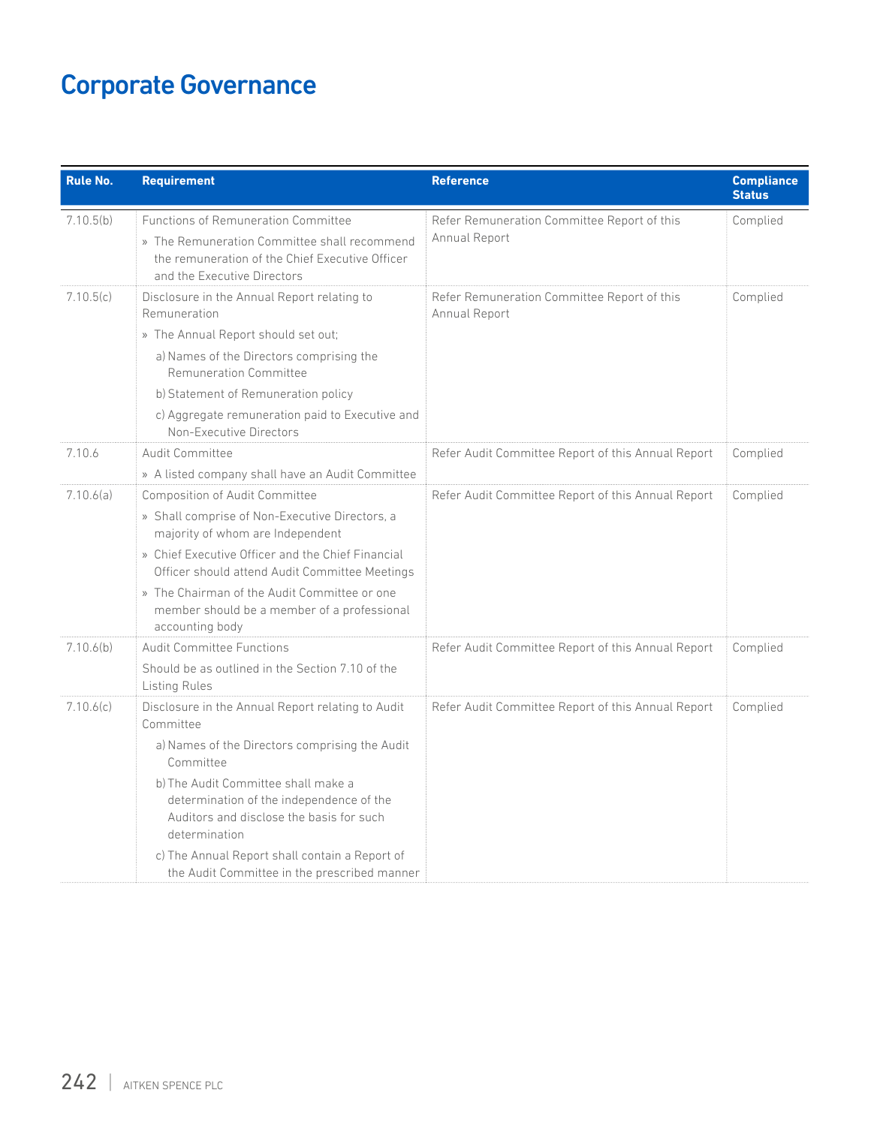| <b>Rule No.</b> | <b>Requirement</b>                                                                                                                                                                                                                                                                                                                                                              | <b>Reference</b>                                             | <b>Compliance</b><br><b>Status</b> |
|-----------------|---------------------------------------------------------------------------------------------------------------------------------------------------------------------------------------------------------------------------------------------------------------------------------------------------------------------------------------------------------------------------------|--------------------------------------------------------------|------------------------------------|
| 7.10.5(b)       | <b>Functions of Remuneration Committee</b><br>» The Remuneration Committee shall recommend<br>the remuneration of the Chief Executive Officer<br>and the Executive Directors                                                                                                                                                                                                    | Refer Remuneration Committee Report of this<br>Annual Report | Complied                           |
| 7.10.5(c)       | Disclosure in the Annual Report relating to<br>Remuneration<br>» The Annual Report should set out;<br>a) Names of the Directors comprising the<br>Remuneration Committee<br>b) Statement of Remuneration policy<br>c) Aggregate remuneration paid to Executive and<br>Non-Executive Directors                                                                                   | Refer Remuneration Committee Report of this<br>Annual Report | Complied                           |
| 7.10.6          | <b>Audit Committee</b><br>» A listed company shall have an Audit Committee                                                                                                                                                                                                                                                                                                      | Refer Audit Committee Report of this Annual Report           | Complied                           |
| 7.10.6(a)       | Composition of Audit Committee<br>» Shall comprise of Non-Executive Directors, a<br>majority of whom are Independent<br>» Chief Executive Officer and the Chief Financial<br>Officer should attend Audit Committee Meetings<br>» The Chairman of the Audit Committee or one<br>member should be a member of a professional<br>accounting body                                   | Refer Audit Committee Report of this Annual Report           | Complied                           |
| 7.10.6(b)       | <b>Audit Committee Functions</b><br>Should be as outlined in the Section 7.10 of the<br><b>Listing Rules</b>                                                                                                                                                                                                                                                                    | Refer Audit Committee Report of this Annual Report           | Complied                           |
| 7.10.6(c)       | Disclosure in the Annual Report relating to Audit<br>Committee<br>a) Names of the Directors comprising the Audit<br>Committee<br>b) The Audit Committee shall make a<br>determination of the independence of the<br>Auditors and disclose the basis for such<br>determination<br>c) The Annual Report shall contain a Report of<br>the Audit Committee in the prescribed manner | Refer Audit Committee Report of this Annual Report           | Complied                           |